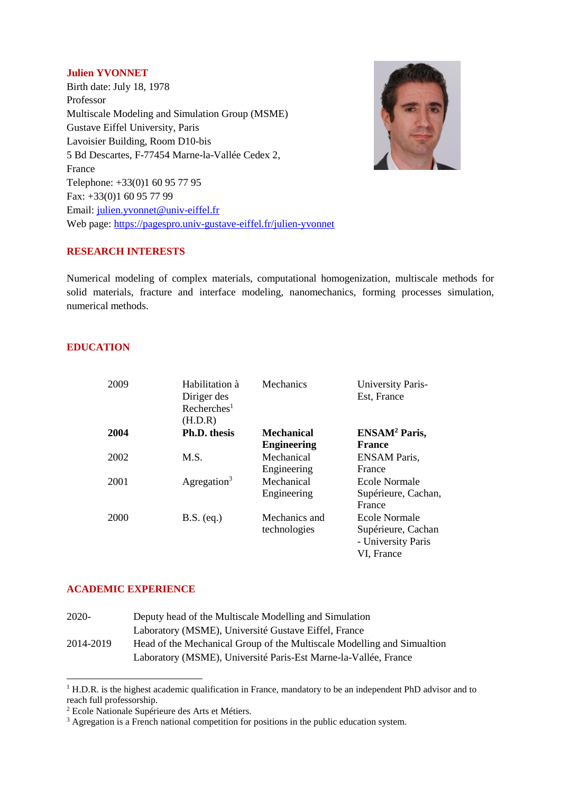#### **Julien YVONNET**

Birth date: July 18, 1978 Professor Multiscale Modeling and Simulation Group (MSME) Gustave Eiffel University, Paris Lavoisier Building, Room D10-bis 5 Bd Descartes, F-77454 Marne-la-Vallée Cedex 2, France Telephone: +33(0)1 60 95 77 95 Fax: +33(0)1 60 95 77 99 Email: [julien.yvonnet@univ-eiffel.fr](mailto:julien.yvonnet@univ-eiffel.fr) Web page:<https://pagespro.univ-gustave-eiffel.fr/julien-yvonnet>



### **RESEARCH INTERESTS**

Numerical modeling of complex materials, computational homogenization, multiscale methods for solid materials, fracture and interface modeling, nanomechanics, forming processes simulation, numerical methods.

## **EDUCATION**

| 2009 | Habilitation à<br>Diriger des<br>Recherches <sup>1</sup><br>(H.D.R) | Mechanics                               | University Paris-<br>Est, France                                               |
|------|---------------------------------------------------------------------|-----------------------------------------|--------------------------------------------------------------------------------|
| 2004 | Ph.D. thesis                                                        | <b>Mechanical</b><br><b>Engineering</b> | ENSAM <sup>2</sup> Paris,<br><b>France</b>                                     |
| 2002 | M.S.                                                                | Mechanical<br>Engineering               | <b>ENSAM</b> Paris,<br>France                                                  |
| 2001 | Agregation <sup>3</sup>                                             | Mechanical<br>Engineering               | Ecole Normale<br>Supérieure, Cachan,<br>France                                 |
| 2000 | $B.S.$ (eq.)                                                        | Mechanics and<br>technologies           | <b>Ecole Normale</b><br>Supérieure, Cachan<br>- University Paris<br>VI, France |

## **ACADEMIC EXPERIENCE**

**.** 

| 2020-     | Deputy head of the Multiscale Modelling and Simulation                  |  |
|-----------|-------------------------------------------------------------------------|--|
|           | Laboratory (MSME), Université Gustave Eiffel, France                    |  |
| 2014-2019 | Head of the Mechanical Group of the Multiscale Modelling and Simualtion |  |
|           | Laboratory (MSME), Université Paris-Est Marne-la-Vallée, France         |  |

<sup>&</sup>lt;sup>1</sup> H.D.R. is the highest academic qualification in France, mandatory to be an independent PhD advisor and to reach full professorship.

<sup>2</sup> Ecole Nationale Supérieure des Arts et Métiers.

<sup>&</sup>lt;sup>3</sup> Agregation is a French national competition for positions in the public education system.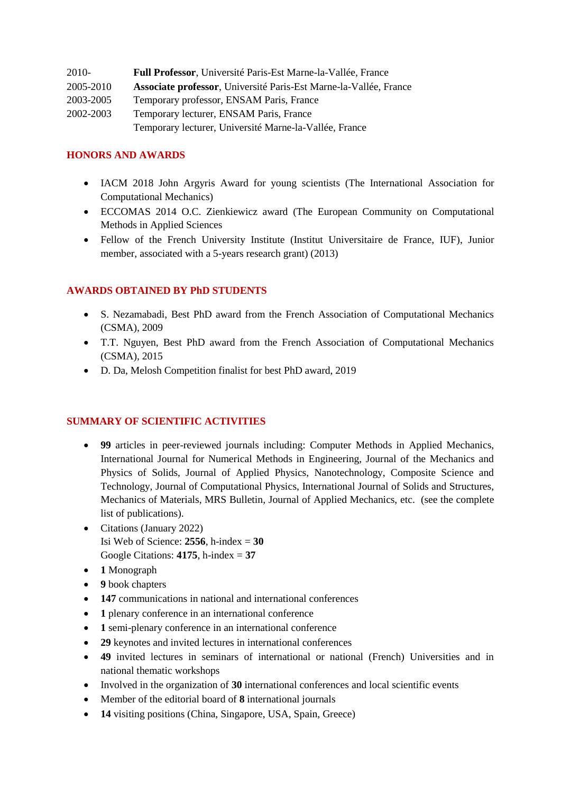| 2010-     | Full Professor, Université Paris-Est Marne-la-Vallée, France      |  |
|-----------|-------------------------------------------------------------------|--|
| 2005-2010 | Associate professor, Université Paris-Est Marne-la-Vallée, France |  |
| 2003-2005 | Temporary professor, ENSAM Paris, France                          |  |
| 2002-2003 | Temporary lecturer, ENSAM Paris, France                           |  |
|           | Temporary lecturer, Université Marne-la-Vallée, France            |  |

## **HONORS AND AWARDS**

- IACM 2018 John Argyris Award for young scientists (The International Association for Computational Mechanics)
- ECCOMAS 2014 O.C. Zienkiewicz award (The European Community on Computational Methods in Applied Sciences
- Fellow of the French University Institute (Institut Universitaire de France, IUF), Junior member, associated with a 5-years research grant) (2013)

## **AWARDS OBTAINED BY PhD STUDENTS**

- S. Nezamabadi, Best PhD award from the French Association of Computational Mechanics (CSMA), 2009
- T.T. Nguyen, Best PhD award from the French Association of Computational Mechanics (CSMA), 2015
- D. Da, Melosh Competition finalist for best PhD award, 2019

## **SUMMARY OF SCIENTIFIC ACTIVITIES**

- **99** articles in peer-reviewed journals including: Computer Methods in Applied Mechanics, International Journal for Numerical Methods in Engineering, Journal of the Mechanics and Physics of Solids, Journal of Applied Physics, Nanotechnology, Composite Science and Technology, Journal of Computational Physics, International Journal of Solids and Structures, Mechanics of Materials, MRS Bulletin, Journal of Applied Mechanics, etc. (see the complete list of publications).
- Citations (January 2022) Isi Web of Science: **2556**, h-index = **30** Google Citations: **4175**, h-index = **37**
- **1** Monograph
- **9** book chapters
- **147** communications in national and international conferences
- 1 plenary conference in an international conference
- **1** semi-plenary conference in an international conference
- **29** keynotes and invited lectures in international conferences
- **49** invited lectures in seminars of international or national (French) Universities and in national thematic workshops
- Involved in the organization of **30** international conferences and local scientific events
- Member of the editorial board of **8** international journals
- **14** visiting positions (China, Singapore, USA, Spain, Greece)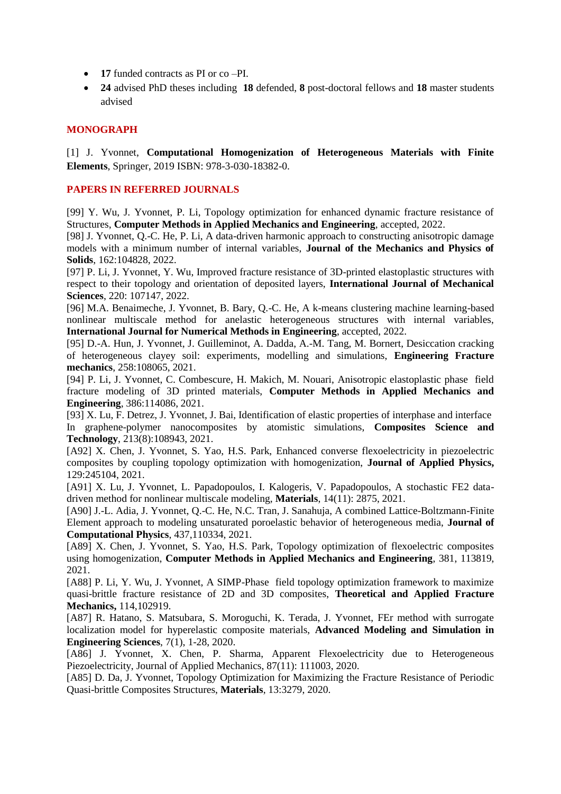- **17** funded contracts as PI or co –PI.
- **24** advised PhD theses including **18** defended, **8** post-doctoral fellows and **18** master students advised

#### **MONOGRAPH**

[1] J. Yvonnet, **Computational Homogenization of Heterogeneous Materials with Finite Elements**, Springer, 2019 ISBN: 978-3-030-18382-0.

### **PAPERS IN REFERRED JOURNALS**

[99] Y. Wu, J. Yvonnet, P. Li, Topology optimization for enhanced dynamic fracture resistance of Structures, **Computer Methods in Applied Mechanics and Engineering**, accepted, 2022.

[98] J. Yvonnet, Q.-C. He, P. Li, A data-driven harmonic approach to constructing anisotropic damage models with a minimum number of internal variables, **Journal of the Mechanics and Physics of Solids**, 162:104828, 2022.

[97] P. Li, J. Yvonnet, Y. Wu, Improved fracture resistance of 3D-printed elastoplastic structures with respect to their topology and orientation of deposited layers, **International Journal of Mechanical Sciences**, 220: 107147, 2022.

[96] M.A. Benaimeche, J. Yvonnet, B. Bary, Q.-C. He, A k-means clustering machine learning-based nonlinear multiscale method for anelastic heterogeneous structures with internal variables, **International Journal for Numerical Methods in Engineering**, accepted, 2022.

[95] D.-A. Hun, J. Yvonnet, J. Guilleminot, A. Dadda, A.-M. Tang, M. Bornert, Desiccation cracking of heterogeneous clayey soil: experiments, modelling and simulations, **Engineering Fracture mechanics**, 258:108065, 2021.

[94] P. Li, J. Yvonnet, C. Combescure, H. Makich, M. Nouari, Anisotropic elastoplastic phase field fracture modeling of 3D printed materials, **Computer Methods in Applied Mechanics and Engineering**, 386:114086, 2021.

[93] X. Lu, F. Detrez, J. Yvonnet, J. Bai, Identification of elastic properties of interphase and interface In graphene-polymer nanocomposites by atomistic simulations, **Composites Science and Technology**, 213(8):108943, 2021.

[A92] X. Chen, J. Yvonnet, S. Yao, H.S. Park, Enhanced converse flexoelectricity in piezoelectric composites by coupling topology optimization with homogenization, **Journal of Applied Physics,**  129:245104, 2021.

[A91] X. Lu, J. Yvonnet, L. Papadopoulos, I. Kalogeris, V. Papadopoulos, A stochastic FE2 datadriven method for nonlinear multiscale modeling, **Materials**, 14(11): 2875, 2021.

[A90] J.-L. Adia, J. Yvonnet, Q.-C. He, N.C. Tran, J. Sanahuja, A combined Lattice-Boltzmann-Finite Element approach to modeling unsaturated poroelastic behavior of heterogeneous media, **Journal of Computational Physics**, 437,110334, 2021.

[A89] X. Chen, J. Yvonnet, S. Yao, H.S. Park, Topology optimization of flexoelectric composites using homogenization, **Computer Methods in Applied Mechanics and Engineering**, 381, 113819, 2021.

[A88] P. Li, Y. Wu, J. Yvonnet, A SIMP-Phase field topology optimization framework to maximize quasi-brittle fracture resistance of 2D and 3D composites, **Theoretical and Applied Fracture Mechanics,** 114,102919.

[A87] R. Hatano, S. Matsubara, S. Moroguchi, K. Terada, J. Yvonnet, FEr method with surrogate localization model for hyperelastic composite materials, **Advanced Modeling and Simulation in Engineering Sciences**, 7(1), 1-28, 2020.

[A86] J. Yvonnet, X. Chen, P. Sharma, Apparent Flexoelectricity due to Heterogeneous Piezoelectricity, Journal of Applied Mechanics, 87(11): 111003, 2020.

[A85] D. Da, J. Yvonnet, Topology Optimization for Maximizing the Fracture Resistance of Periodic Quasi-brittle Composites Structures, **Materials**, 13:3279, 2020.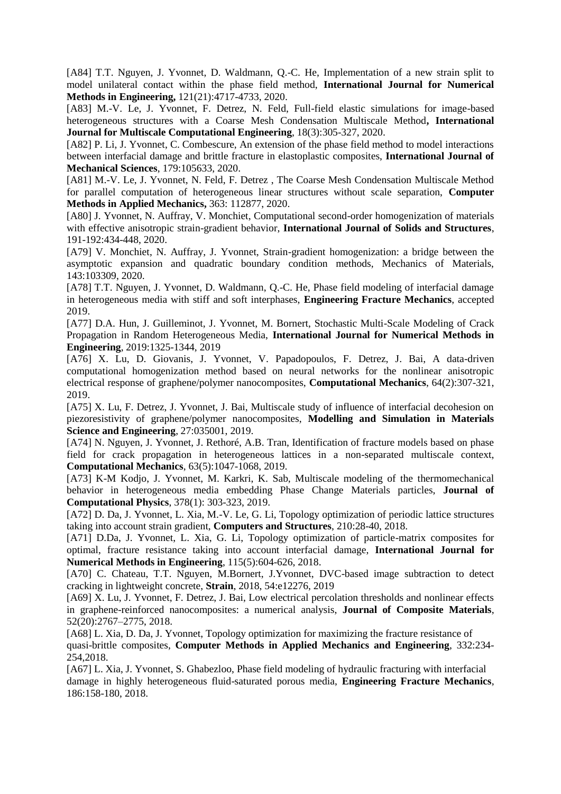[A84] T.T. Nguyen, J. Yvonnet, D. Waldmann, Q.-C. He, Implementation of a new strain split to model unilateral contact within the phase field method, **International Journal for Numerical Methods in Engineering,** 121(21):4717-4733, 2020.

[A83] M.-V. Le, J. Yvonnet, F. Detrez, N. Feld, Full-field elastic simulations for image-based heterogeneous structures with a Coarse Mesh Condensation Multiscale Method**, International Journal for Multiscale Computational Engineering**, 18(3):305-327, 2020.

[A82] P. Li, J. Yvonnet, C. Combescure, An extension of the phase field method to model interactions between interfacial damage and brittle fracture in elastoplastic composites, **International Journal of Mechanical Sciences**, 179:105633, 2020.

[A81] M.-V. Le, J. Yvonnet, N. Feld, F. Detrez , The Coarse Mesh Condensation Multiscale Method for parallel computation of heterogeneous linear structures without scale separation, **Computer Methods in Applied Mechanics,** 363: 112877, 2020.

[A80] J. Yvonnet, N. Auffray, V. Monchiet, Computational second-order homogenization of materials with effective anisotropic strain-gradient behavior, **International Journal of Solids and Structures**, 191-192:434-448, 2020.

[A79] V. Monchiet, N. Auffray, J. Yvonnet, Strain-gradient homogenization: a bridge between the asymptotic expansion and quadratic boundary condition methods, Mechanics of Materials, 143:103309, 2020.

[A78] T.T. Nguyen, J. Yvonnet, D. Waldmann, Q.-C. He, Phase field modeling of interfacial damage in heterogeneous media with stiff and soft interphases, **Engineering Fracture Mechanics**, accepted 2019.

[A77] D.A. Hun, J. Guilleminot, J. Yvonnet, M. Bornert, Stochastic Multi-Scale Modeling of Crack Propagation in Random Heterogeneous Media, **International Journal for Numerical Methods in Engineering**, 2019:1325-1344, 2019

[A76] X. Lu, D. Giovanis, J. Yvonnet, V. Papadopoulos, F. Detrez, J. Bai, A data-driven computational homogenization method based on neural networks for the nonlinear anisotropic electrical response of graphene/polymer nanocomposites, **Computational Mechanics**, 64(2):307-321, 2019.

[A75] X. Lu, F. Detrez, J. Yvonnet, J. Bai, Multiscale study of influence of interfacial decohesion on piezoresistivity of graphene/polymer nanocomposites, **Modelling and Simulation in Materials Science and Engineering**, 27:035001, 2019.

[A74] N. Nguyen, J. Yvonnet, J. Rethoré, A.B. Tran, Identification of fracture models based on phase field for crack propagation in heterogeneous lattices in a non-separated multiscale context, **Computational Mechanics**, 63(5):1047-1068, 2019.

[A73] K-M Kodjo, J. Yvonnet, M. Karkri, K. Sab, Multiscale modeling of the thermomechanical behavior in heterogeneous media embedding Phase Change Materials particles, **Journal of Computational Physics**, 378(1): 303-323, 2019.

[A72] D. Da, J. Yvonnet, L. Xia, M.-V. Le, G. Li, Topology optimization of periodic lattice structures taking into account strain gradient, **Computers and Structures**, 210:28-40, 2018.

[A71] D.Da, J. Yvonnet, L. Xia, G. Li, Topology optimization of particle-matrix composites for optimal, fracture resistance taking into account interfacial damage, **International Journal for Numerical Methods in Engineering**, 115(5):604-626, 2018.

[A70] C. Chateau, T.T. Nguyen, M.Bornert, J.Yvonnet, DVC-based image subtraction to detect cracking in lightweight concrete, **Strain**, 2018, 54:e12276, 2019

[A69] X. Lu, J. Yvonnet, F. Detrez, J. Bai, Low electrical percolation thresholds and nonlinear effects in graphene-reinforced nanocomposites: a numerical analysis, **Journal of Composite Materials**, 52(20):2767–2775, 2018.

[A68] L. Xia, D. Da, J. Yvonnet, Topology optimization for maximizing the fracture resistance of quasi-brittle composites, **Computer Methods in Applied Mechanics and Engineering**, 332:234- 254,2018.

[A67] L. Xia, J. Yvonnet, S. Ghabezloo, Phase field modeling of hydraulic fracturing with interfacial damage in highly heterogeneous fluid-saturated porous media, **Engineering Fracture Mechanics**, 186:158-180, 2018.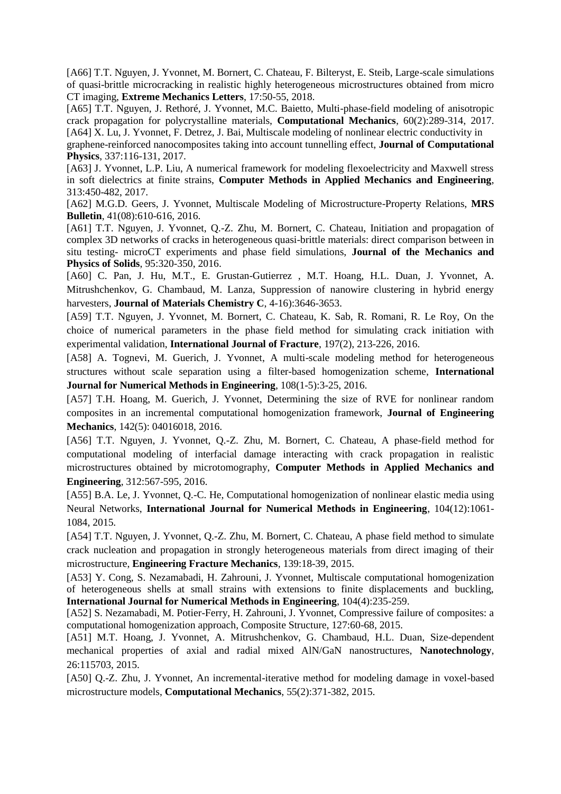[A66] T.T. Nguyen, J. Yvonnet, M. Bornert, C. Chateau, F. Bilteryst, E. Steib, Large-scale simulations of quasi-brittle microcracking in realistic highly heterogeneous microstructures obtained from micro CT imaging, **Extreme Mechanics Letters**, 17:50-55, 2018.

[A65] T.T. Nguyen, J. Rethoré, J. Yvonnet, M.C. Baietto, Multi-phase-field modeling of anisotropic crack propagation for polycrystalline materials, **Computational Mechanics**, 60(2):289-314, 2017. [A64] X. Lu, J. Yvonnet, F. Detrez, J. Bai, Multiscale modeling of nonlinear electric conductivity in

graphene-reinforced nanocomposites taking into account tunnelling effect, **Journal of Computational Physics**, 337:116-131, 2017.

[A63] J. Yvonnet, L.P. Liu, A numerical framework for modeling flexoelectricity and Maxwell stress in soft dielectrics at finite strains, **Computer Methods in Applied Mechanics and Engineering**, 313:450-482, 2017.

[A62] M.G.D. Geers, J. Yvonnet, Multiscale Modeling of Microstructure-Property Relations, **MRS Bulletin**, 41(08):610-616, 2016.

[A61] T.T. Nguyen, J. Yvonnet, Q.-Z. Zhu, M. Bornert, C. Chateau, Initiation and propagation of complex 3D networks of cracks in heterogeneous quasi-brittle materials: direct comparison between in situ testing- microCT experiments and phase field simulations, **Journal of the Mechanics and Physics of Solids**, 95:320-350, 2016.

[A60] C. Pan, J. Hu, M.T., E. Grustan-Gutierrez , M.T. Hoang, H.L. Duan, J. Yvonnet, A. Mitrushchenkov, G. Chambaud, M. Lanza, Suppression of nanowire clustering in hybrid energy harvesters, **Journal of Materials Chemistry C**, 4-16):3646-3653.

[A59] T.T. Nguyen, J. Yvonnet, M. Bornert, C. Chateau, K. Sab, R. Romani, R. Le Roy, On the choice of numerical parameters in the phase field method for simulating crack initiation with experimental validation, **International Journal of Fracture**, 197(2), 213-226, 2016.

[A58] A. Tognevi, M. Guerich, J. Yvonnet, A multi-scale modeling method for heterogeneous structures without scale separation using a filter-based homogenization scheme, **International Journal for Numerical Methods in Engineering**, 108(1-5):3-25, 2016.

[A57] T.H. Hoang, M. Guerich, J. Yvonnet, Determining the size of RVE for nonlinear random composites in an incremental computational homogenization framework, **Journal of Engineering Mechanics**, 142(5): 04016018, 2016.

[A56] T.T. Nguyen, J. Yvonnet, Q.-Z. Zhu, M. Bornert, C. Chateau, A phase-field method for computational modeling of interfacial damage interacting with crack propagation in realistic microstructures obtained by microtomography, **Computer Methods in Applied Mechanics and Engineering**, 312:567-595, 2016.

[A55] B.A. Le, J. Yvonnet, Q.-C. He, Computational homogenization of nonlinear elastic media using Neural Networks, **International Journal for Numerical Methods in Engineering**, 104(12):1061- 1084, 2015.

[A54] T.T. Nguyen, J. Yvonnet, Q.-Z. Zhu, M. Bornert, C. Chateau, A phase field method to simulate crack nucleation and propagation in strongly heterogeneous materials from direct imaging of their microstructure, **Engineering Fracture Mechanics**, 139:18-39, 2015.

[A53] Y. Cong, S. Nezamabadi, H. Zahrouni, J. Yvonnet, Multiscale computational homogenization of heterogeneous shells at small strains with extensions to finite displacements and buckling, **International Journal for Numerical Methods in Engineering**, 104(4):235-259.

[A52] S. Nezamabadi, M. Potier-Ferry, H. Zahrouni, J. Yvonnet, Compressive failure of composites: a computational homogenization approach, Composite Structure, 127:60-68, 2015.

[A51] M.T. Hoang, J. Yvonnet, A. Mitrushchenkov, G. Chambaud, H.L. Duan, Size-dependent mechanical properties of axial and radial mixed AlN/GaN nanostructures, **Nanotechnology**, 26:115703, 2015.

[A50] Q.-Z. Zhu, J. Yvonnet, An incremental-iterative method for modeling damage in voxel-based microstructure models, **Computational Mechanics**, 55(2):371-382, 2015.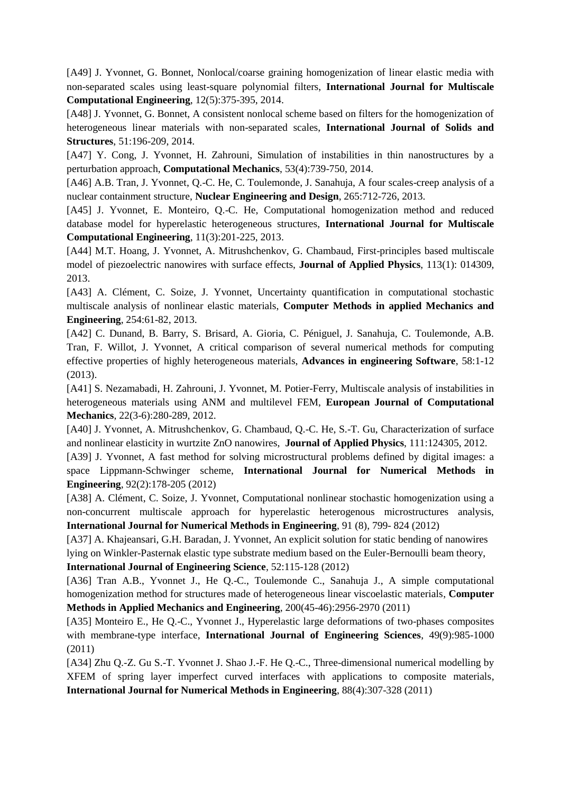[A49] J. Yvonnet, G. Bonnet, Nonlocal/coarse graining homogenization of linear elastic media with non-separated scales using least-square polynomial filters, **International Journal for Multiscale Computational Engineering**, 12(5):375-395, 2014.

[A48] J. Yvonnet, G. Bonnet, A consistent nonlocal scheme based on filters for the homogenization of heterogeneous linear materials with non-separated scales, **International Journal of Solids and Structures**, 51:196-209, 2014.

[A47] Y. Cong, J. Yvonnet, H. Zahrouni, Simulation of instabilities in thin nanostructures by a perturbation approach, **Computational Mechanics**, 53(4):739-750, 2014.

[A46] A.B. Tran, J. Yvonnet, Q.-C. He, C. Toulemonde, J. Sanahuja, A four scales-creep analysis of a nuclear containment structure, **Nuclear Engineering and Design**, 265:712-726, 2013.

[A45] J. Yvonnet, E. Monteiro, Q.-C. He, Computational homogenization method and reduced database model for hyperelastic heterogeneous structures, **International Journal for Multiscale Computational Engineering**, 11(3):201-225, 2013.

[A44] M.T. Hoang, J. Yvonnet, A. Mitrushchenkov, G. Chambaud, First-principles based multiscale model of piezoelectric nanowires with surface effects, **Journal of Applied Physics**, 113(1): 014309, 2013.

[A43] A. Clément, C. Soize, J. Yvonnet, Uncertainty quantification in computational stochastic multiscale analysis of nonlinear elastic materials, **Computer Methods in applied Mechanics and Engineering**, 254:61-82, 2013.

[A42] C. Dunand, B. Barry, S. Brisard, A. Gioria, C. Péniguel, J. Sanahuja, C. Toulemonde, A.B. Tran, F. Willot, J. Yvonnet, A critical comparison of several numerical methods for computing effective properties of highly heterogeneous materials, **Advances in engineering Software**, 58:1-12 (2013).

[A41] S. Nezamabadi, H. Zahrouni, J. Yvonnet, M. Potier-Ferry, Multiscale analysis of instabilities in heterogeneous materials using ANM and multilevel FEM, **European Journal of Computational Mechanics**, 22(3-6):280-289, 2012.

[A40] J. Yvonnet, A. Mitrushchenkov, G. Chambaud, Q.-C. He, S.-T. Gu, Characterization of surface and nonlinear elasticity in wurtzite ZnO nanowires, **Journal of Applied Physics**, 111:124305, 2012.

[A39] J. Yvonnet, A fast method for solving microstructural problems defined by digital images: a space Lippmann-Schwinger scheme, **International Journal for Numerical Methods in Engineering**, 92(2):178-205 (2012)

[A38] A. Clément, C. Soize, J. Yvonnet, Computational nonlinear stochastic homogenization using a non-concurrent multiscale approach for hyperelastic heterogenous microstructures analysis, **International Journal for Numerical Methods in Engineering**, 91 (8), 799- 824 (2012)

[A37] A. Khajeansari, G.H. Baradan, J. Yvonnet, An explicit solution for static bending of nanowires lying on Winkler-Pasternak elastic type substrate medium based on the Euler-Bernoulli beam theory, **International Journal of Engineering Science**, 52:115-128 (2012)

[A36] Tran A.B., Yvonnet J., He Q.-C., Toulemonde C., Sanahuja J., A simple computational homogenization method for structures made of heterogeneous linear viscoelastic materials, **Computer Methods in Applied Mechanics and Engineering**, 200(45-46):2956-2970 (2011)

[A35] Monteiro E., He Q.-C., Yvonnet J., Hyperelastic large deformations of two-phases composites with membrane-type interface, **International Journal of Engineering Sciences**, 49(9):985-1000 (2011)

[A34] Zhu Q.-Z. Gu S.-T. Yvonnet J. Shao J.-F. He Q.-C., Three-dimensional numerical modelling by XFEM of spring layer imperfect curved interfaces with applications to composite materials, **International Journal for Numerical Methods in Engineering**, 88(4):307-328 (2011)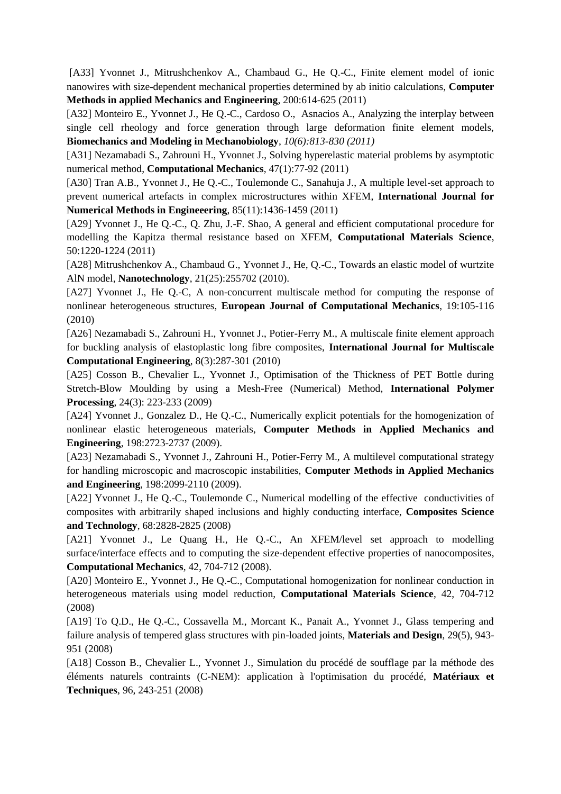[A33] Yvonnet J., Mitrushchenkov A., Chambaud G., He Q.-C., Finite element model of ionic nanowires with size-dependent mechanical properties determined by ab initio calculations, **Computer Methods in applied Mechanics and Engineering**, 200:614-625 (2011)

[A32] Monteiro E., Yvonnet J., He Q.-C., Cardoso O., Asnacios A., Analyzing the interplay between single cell rheology and force generation through large deformation finite element models, **Biomechanics and Modeling in Mechanobiology**, *10(6):813-830 (2011)*

[A31] Nezamabadi S., Zahrouni H., Yvonnet J., Solving hyperelastic material problems by asymptotic numerical method, **Computational Mechanics**, 47(1):77-92 (2011)

[A30] Tran A.B., Yvonnet J., He Q.-C., Toulemonde C., Sanahuja J., A multiple level-set approach to prevent numerical artefacts in complex microstructures within XFEM, **International Journal for Numerical Methods in Engineeering**, 85(11):1436-1459 (2011)

[A29] Yvonnet J., He Q.-C., Q. Zhu, J.-F. Shao, A general and efficient computational procedure for modelling the Kapitza thermal resistance based on XFEM, **Computational Materials Science**, 50:1220-1224 (2011)

[A28] Mitrushchenkov A., Chambaud G., Yvonnet J., He, Q.-C., Towards an elastic model of wurtzite AlN model, **Nanotechnology**, 21(25):255702 (2010).

[A27] Yvonnet J., He Q.-C, A non-concurrent multiscale method for computing the response of nonlinear heterogeneous structures, **European Journal of Computational Mechanics**, 19:105-116 (2010)

[A26] Nezamabadi S., Zahrouni H., Yvonnet J., Potier-Ferry M., A multiscale finite element approach for buckling analysis of elastoplastic long fibre composites, **International Journal for Multiscale Computational Engineering**, 8(3):287-301 (2010)

[A25] Cosson B., Chevalier L., Yvonnet J., Optimisation of the Thickness of PET Bottle during Stretch-Blow Moulding by using a Mesh-Free (Numerical) Method, **International Polymer Processing**, 24(3): 223-233 (2009)

[A24] Yvonnet J., Gonzalez D., He Q.-C., Numerically explicit potentials for the homogenization of nonlinear elastic heterogeneous materials, **Computer Methods in Applied Mechanics and Engineering**, 198:2723-2737 (2009).

[A23] Nezamabadi S., Yvonnet J., Zahrouni H., Potier-Ferry M., A multilevel computational strategy for handling microscopic and macroscopic instabilities, **Computer Methods in Applied Mechanics and Engineering**, 198:2099-2110 (2009).

[A22] Yvonnet J., He Q.-C., Toulemonde C., Numerical modelling of the effective conductivities of composites with arbitrarily shaped inclusions and highly conducting interface, **Composites Science and Technology**, 68:2828-2825 (2008)

[A21] Yvonnet J., Le Quang H., He Q.-C., An XFEM/level set approach to modelling surface/interface effects and to computing the size-dependent effective properties of nanocomposites, **Computational Mechanics**, 42, 704-712 (2008).

[A20] Monteiro E., Yvonnet J., He Q.-C., Computational homogenization for nonlinear conduction in heterogeneous materials using model reduction, **Computational Materials Science**, 42, 704-712 (2008)

[A19] To Q.D., He Q.-C., Cossavella M., Morcant K., Panait A., Yvonnet J., Glass tempering and failure analysis of tempered glass structures with pin-loaded joints, **Materials and Design**, 29(5), 943- 951 (2008)

[A18] Cosson B., Chevalier L., Yvonnet J., Simulation du procédé de soufflage par la méthode des éléments naturels contraints (C-NEM): application à l'optimisation du procédé, **Matériaux et Techniques**, 96, 243-251 (2008)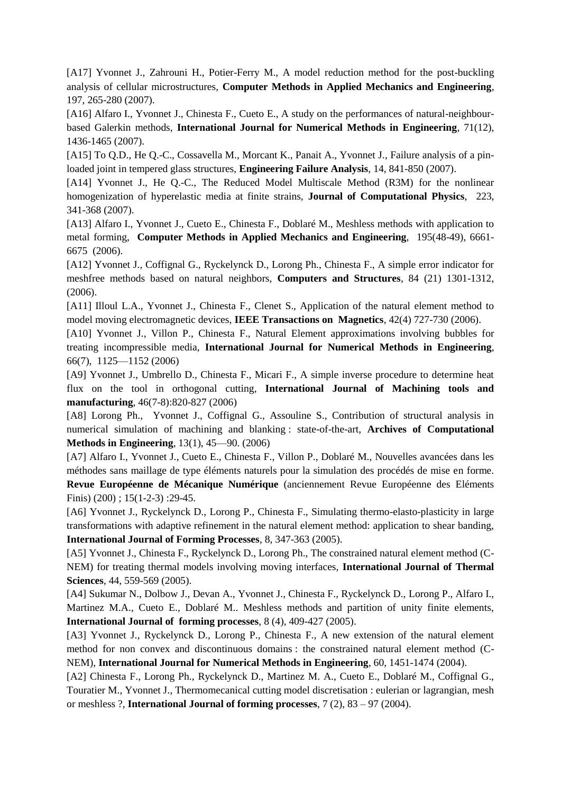[A17] Yvonnet J., Zahrouni H., Potier-Ferry M., A model reduction method for the post-buckling analysis of cellular microstructures, **Computer Methods in Applied Mechanics and Engineering**, 197, 265-280 (2007).

[A16] Alfaro I., Yvonnet J., Chinesta F., Cueto E., A study on the performances of natural-neighbourbased Galerkin methods, **International Journal for Numerical Methods in Engineering**, 71(12), 1436-1465 (2007).

[A15] To Q.D., He Q.-C., Cossavella M., Morcant K., Panait A., Yvonnet J., Failure analysis of a pinloaded joint in tempered glass structures, **Engineering Failure Analysis**, 14, 841-850 (2007).

[A14] Yvonnet J., He Q.-C., The Reduced Model Multiscale Method (R3M) for the nonlinear homogenization of hyperelastic media at finite strains, **Journal of Computational Physics**, 223, 341-368 (2007).

[A13] Alfaro I., Yvonnet J., Cueto E., Chinesta F., Doblaré M., Meshless methods with application to metal forming, **Computer Methods in Applied Mechanics and Engineering**, 195(48-49), 6661- 6675 (2006).

[A12] Yvonnet J., Coffignal G., Ryckelynck D., Lorong Ph., Chinesta F., A simple error indicator for meshfree methods based on natural neighbors, **Computers and Structures**, 84 (21) 1301-1312, (2006).

[A11] Illoul L.A., Yvonnet J., Chinesta F., Clenet S., Application of the natural element method to model moving electromagnetic devices, **IEEE Transactions on Magnetics**, 42(4) 727-730 (2006).

[A10] Yvonnet J., Villon P., Chinesta F., Natural Element approximations involving bubbles for treating incompressible media, **International Journal for Numerical Methods in Engineering**, 66(7), 1125—1152 (2006)

[A9] Yvonnet J., Umbrello D., Chinesta F., Micari F., A simple inverse procedure to determine heat flux on the tool in orthogonal cutting, **International Journal of Machining tools and manufacturing**, 46(7-8):820-827 (2006)

[A8] Lorong Ph., Yvonnet J., Coffignal G., Assouline S., Contribution of structural analysis in numerical simulation of machining and blanking : state-of-the-art, **Archives of Computational Methods in Engineering**, 13(1), 45—90. (2006)

[A7] Alfaro I., Yvonnet J., Cueto E., Chinesta F., Villon P., Doblaré M., Nouvelles avancées dans les méthodes sans maillage de type éléments naturels pour la simulation des procédés de mise en forme. **Revue Européenne de Mécanique Numérique** (anciennement Revue Européenne des Eléments Finis) (200) ; 15(1-2-3) :29-45.

[A6] Yvonnet J., Ryckelynck D., Lorong P., Chinesta F., Simulating thermo-elasto-plasticity in large transformations with adaptive refinement in the natural element method: application to shear banding, **International Journal of Forming Processes**, 8, 347-363 (2005).

[A5] Yvonnet J., Chinesta F., Ryckelynck D., Lorong Ph., The constrained natural element method (C-NEM) for treating thermal models involving moving interfaces, **International Journal of Thermal Sciences**, 44, 559-569 (2005).

[A4] Sukumar N., Dolbow J., Devan A., Yvonnet J., Chinesta F., Ryckelynck D., Lorong P., Alfaro I., Martinez M.A., Cueto E., Doblaré M.. Meshless methods and partition of unity finite elements, **International Journal of forming processes**, 8 (4), 409-427 (2005).

[A3] Yvonnet J., Ryckelynck D., Lorong P., Chinesta F., A new extension of the natural element method for non convex and discontinuous domains : the constrained natural element method (C-NEM), **International Journal for Numerical Methods in Engineering**, 60, 1451-1474 (2004).

[A2] Chinesta F., Lorong Ph., Ryckelynck D., Martinez M. A., Cueto E., Doblaré M., Coffignal G., Touratier M., Yvonnet J., Thermomecanical cutting model discretisation : eulerian or lagrangian, mesh or meshless ?, **International Journal of forming processes**, 7 (2), 83 – 97 (2004).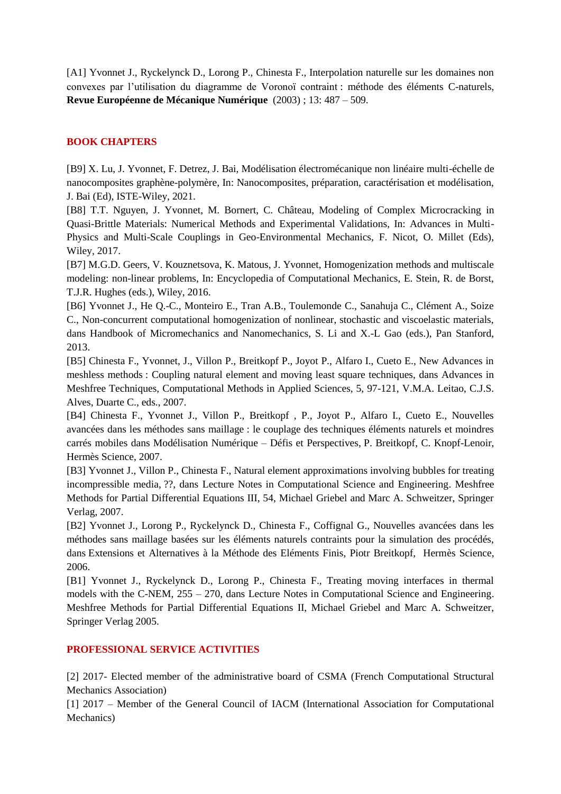[A1] Yvonnet J., Ryckelynck D., Lorong P., Chinesta F., Interpolation naturelle sur les domaines non convexes par l'utilisation du diagramme de Voronoï contraint : méthode des éléments C-naturels, **Revue Européenne de Mécanique Numérique** (2003) ; 13: 487 – 509.

## **BOOK CHAPTERS**

[B9] X. Lu, J. Yvonnet, F. Detrez, J. Bai, Modélisation électromécanique non linéaire multi-échelle de nanocomposites graphène-polymère, In: Nanocomposites, préparation, caractérisation et modélisation, J. Bai (Ed), ISTE-Wiley, 2021.

[B8] T.T. Nguyen, J. Yvonnet, M. Bornert, C. Château, Modeling of Complex Microcracking in Quasi-Brittle Materials: Numerical Methods and Experimental Validations, In: Advances in Multi-Physics and Multi-Scale Couplings in Geo-Environmental Mechanics, F. Nicot, O. Millet (Eds), Wiley, 2017.

[B7] M.G.D. Geers, V. Kouznetsova, K. Matous, J. Yvonnet, Homogenization methods and multiscale modeling: non-linear problems, In: Encyclopedia of Computational Mechanics, E. Stein, R. de Borst, T.J.R. Hughes (eds.), Wiley, 2016.

[B6] Yvonnet J., He Q.-C., Monteiro E., Tran A.B., Toulemonde C., Sanahuja C., Clément A., Soize C., Non-concurrent computational homogenization of nonlinear, stochastic and viscoelastic materials, dans Handbook of Micromechanics and Nanomechanics, S. Li and X.-L Gao (eds.), Pan Stanford, 2013.

[B5] Chinesta F., Yvonnet, J., Villon P., Breitkopf P., Joyot P., Alfaro I., Cueto E., New Advances in meshless methods : Coupling natural element and moving least square techniques, dans Advances in Meshfree Techniques, Computational Methods in Applied Sciences, 5, 97-121, V.M.A. Leitao, C.J.S. Alves, Duarte C., eds., 2007.

[B4] Chinesta F., Yvonnet J., Villon P., Breitkopf , P., Joyot P., Alfaro I., Cueto E., Nouvelles avancées dans les méthodes sans maillage : le couplage des techniques éléments naturels et moindres carrés mobiles dans Modélisation Numérique – Défis et Perspectives, P. Breitkopf, C. Knopf-Lenoir, Hermès Science, 2007.

[B3] Yvonnet J., Villon P., Chinesta F., Natural element approximations involving bubbles for treating incompressible media, ??, dans Lecture Notes in Computational Science and Engineering. Meshfree Methods for Partial Differential Equations III, 54, Michael Griebel and Marc A. Schweitzer, Springer Verlag, 2007.

[B2] Yvonnet J., Lorong P., Ryckelynck D., Chinesta F., Coffignal G., Nouvelles avancées dans les méthodes sans maillage basées sur les éléments naturels contraints pour la simulation des procédés, dans Extensions et Alternatives à la Méthode des Eléments Finis, Piotr Breitkopf, Hermès Science, 2006.

[B1] Yvonnet J., Ryckelynck D., Lorong P., Chinesta F., Treating moving interfaces in thermal models with the C-NEM, 255 – 270, dans Lecture Notes in Computational Science and Engineering. Meshfree Methods for Partial Differential Equations II, Michael Griebel and Marc A. Schweitzer, Springer Verlag 2005.

## **PROFESSIONAL SERVICE ACTIVITIES**

[2] 2017- Elected member of the administrative board of CSMA (French Computational Structural Mechanics Association)

[1] 2017 – Member of the General Council of IACM (International Association for Computational Mechanics)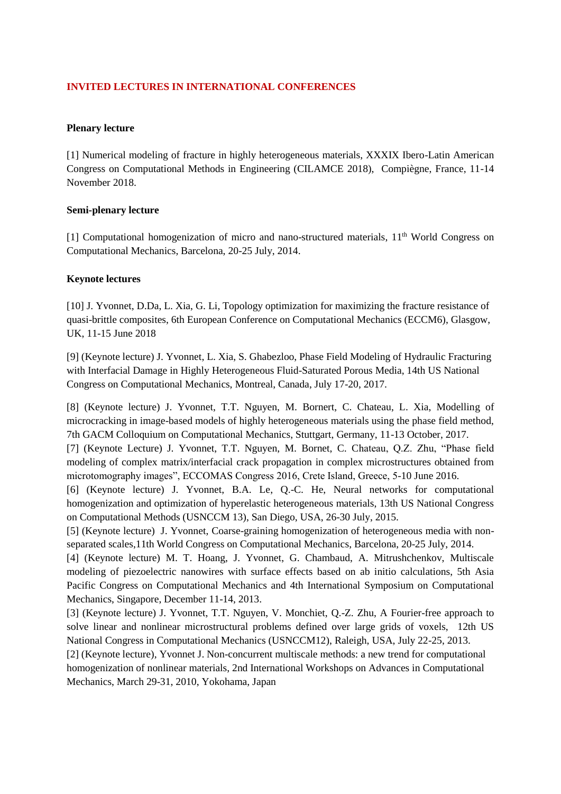## **INVITED LECTURES IN INTERNATIONAL CONFERENCES**

#### **Plenary lecture**

[1] Numerical modeling of fracture in highly heterogeneous materials, XXXIX Ibero-Latin American Congress on Computational Methods in Engineering (CILAMCE 2018), Compiègne, France, 11-14 November 2018.

#### **Semi-plenary lecture**

[1] Computational homogenization of micro and nano-structured materials, 11<sup>th</sup> World Congress on Computational Mechanics, Barcelona, 20-25 July, 2014.

#### **Keynote lectures**

[10] J. Yvonnet, D.Da, L. Xia, G. Li, Topology optimization for maximizing the fracture resistance of quasi-brittle composites, 6th European Conference on Computational Mechanics (ECCM6), Glasgow, UK, 11-15 June 2018

[9] (Keynote lecture) J. Yvonnet, L. Xia, S. Ghabezloo, Phase Field Modeling of Hydraulic Fracturing with Interfacial Damage in Highly Heterogeneous Fluid-Saturated Porous Media, 14th US National Congress on Computational Mechanics, Montreal, Canada, July 17-20, 2017.

[8] (Keynote lecture) J. Yvonnet, T.T. Nguyen, M. Bornert, C. Chateau, L. Xia, Modelling of microcracking in image-based models of highly heterogeneous materials using the phase field method, 7th GACM Colloquium on Computational Mechanics, Stuttgart, Germany, 11-13 October, 2017.

[7] (Keynote Lecture) J. Yvonnet, T.T. Nguyen, M. Bornet, C. Chateau, Q.Z. Zhu, "Phase field modeling of complex matrix/interfacial crack propagation in complex microstructures obtained from microtomography images", ECCOMAS Congress 2016, Crete Island, Greece, 5-10 June 2016.

[6] (Keynote lecture) J. Yvonnet, B.A. Le, Q.-C. He, Neural networks for computational homogenization and optimization of hyperelastic heterogeneous materials, 13th US National Congress on Computational Methods (USNCCM 13), San Diego, USA, 26-30 July, 2015.

[5] (Keynote lecture) J. Yvonnet, Coarse-graining homogenization of heterogeneous media with nonseparated scales,11th World Congress on Computational Mechanics, Barcelona, 20-25 July, 2014.

[4] (Keynote lecture) M. T. Hoang, J. Yvonnet, G. Chambaud, A. Mitrushchenkov, Multiscale modeling of piezoelectric nanowires with surface effects based on ab initio calculations, 5th Asia Pacific Congress on Computational Mechanics and 4th International Symposium on Computational Mechanics, Singapore, December 11-14, 2013.

[3] (Keynote lecture) J. Yvonnet, T.T. Nguyen, V. Monchiet, Q.-Z. Zhu, A Fourier-free approach to solve linear and nonlinear microstructural problems defined over large grids of voxels, 12th US National Congress in Computational Mechanics (USNCCM12), Raleigh, USA, July 22-25, 2013.

[2] (Keynote lecture), Yvonnet J. Non-concurrent multiscale methods: a new trend for computational homogenization of nonlinear materials, 2nd International Workshops on Advances in Computational Mechanics, March 29-31, 2010, Yokohama, Japan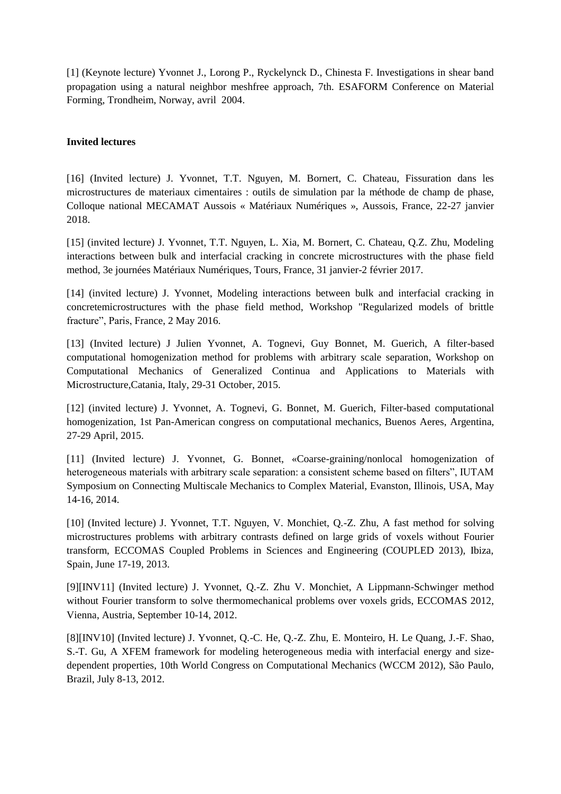[1] (Keynote lecture) Yvonnet J., Lorong P., Ryckelynck D., Chinesta F. Investigations in shear band propagation using a natural neighbor meshfree approach, 7th. ESAFORM Conference on Material Forming, Trondheim, Norway, avril 2004.

### **Invited lectures**

[16] (Invited lecture) J. Yvonnet, T.T. Nguyen, M. Bornert, C. Chateau, Fissuration dans les microstructures de materiaux cimentaires : outils de simulation par la méthode de champ de phase, Colloque national MECAMAT Aussois « Matériaux Numériques », Aussois, France, 22-27 janvier 2018.

[15] (invited lecture) J. Yvonnet, T.T. Nguyen, L. Xia, M. Bornert, C. Chateau, Q.Z. Zhu, Modeling interactions between bulk and interfacial cracking in concrete microstructures with the phase field method, 3e journées Matériaux Numériques, Tours, France, 31 janvier-2 février 2017.

[14] (invited lecture) J. Yvonnet, Modeling interactions between bulk and interfacial cracking in concretemicrostructures with the phase field method, Workshop "Regularized models of brittle fracture", Paris, France, 2 May 2016.

[13] (Invited lecture) J Julien Yvonnet, A. Tognevi, Guy Bonnet, M. Guerich, A filter-based computational homogenization method for problems with arbitrary scale separation, Workshop on Computational Mechanics of Generalized Continua and Applications to Materials with Microstructure,Catania, Italy, 29-31 October, 2015.

[12] (invited lecture) J. Yvonnet, A. Tognevi, G. Bonnet, M. Guerich, Filter-based computational homogenization, 1st Pan-American congress on computational mechanics, Buenos Aeres, Argentina, 27-29 April, 2015.

[11] (Invited lecture) J. Yvonnet, G. Bonnet, «Coarse-graining/nonlocal homogenization of heterogeneous materials with arbitrary scale separation: a consistent scheme based on filters", IUTAM Symposium on Connecting Multiscale Mechanics to Complex Material, Evanston, Illinois, USA, May 14-16, 2014.

[10] (Invited lecture) J. Yvonnet, T.T. Nguyen, V. Monchiet, Q.-Z. Zhu, A fast method for solving microstructures problems with arbitrary contrasts defined on large grids of voxels without Fourier transform, ECCOMAS Coupled Problems in Sciences and Engineering (COUPLED 2013), Ibiza, Spain, June 17-19, 2013.

[9][INV11] (Invited lecture) J. Yvonnet, Q.-Z. Zhu V. Monchiet, A Lippmann-Schwinger method without Fourier transform to solve thermomechanical problems over voxels grids, ECCOMAS 2012, Vienna, Austria, September 10-14, 2012.

[8][INV10] (Invited lecture) J. Yvonnet, Q.-C. He, Q.-Z. Zhu, E. Monteiro, H. Le Quang, J.-F. Shao, S.-T. Gu, A XFEM framework for modeling heterogeneous media with interfacial energy and sizedependent properties, 10th World Congress on Computational Mechanics (WCCM 2012), São Paulo, Brazil, July 8-13, 2012.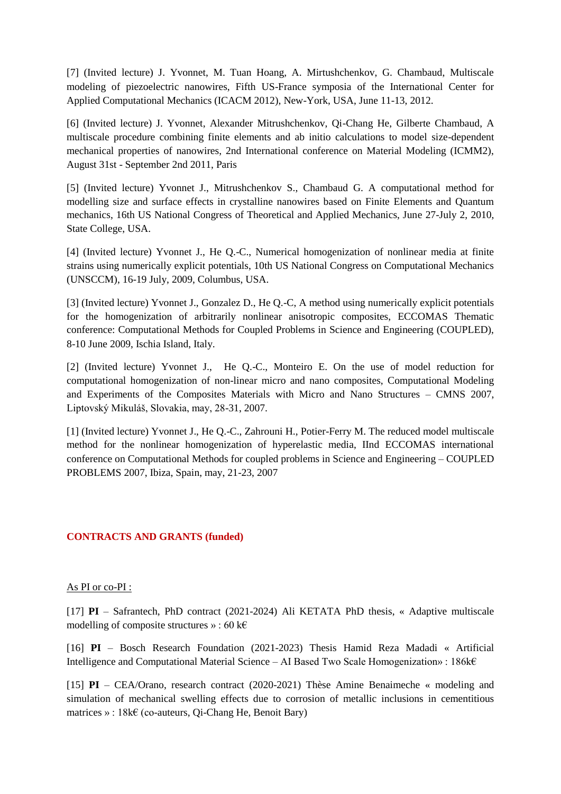[7] (Invited lecture) J. Yvonnet, M. Tuan Hoang, A. Mirtushchenkov, G. Chambaud, Multiscale modeling of piezoelectric nanowires, Fifth US-France symposia of the International Center for Applied Computational Mechanics (ICACM 2012), New-York, USA, June 11-13, 2012.

[6] (Invited lecture) J. Yvonnet, Alexander Mitrushchenkov, Qi-Chang He, Gilberte Chambaud, A multiscale procedure combining finite elements and ab initio calculations to model size-dependent mechanical properties of nanowires, 2nd International conference on Material Modeling (ICMM2), August 31st - September 2nd 2011, Paris

[5] (Invited lecture) Yvonnet J., Mitrushchenkov S., Chambaud G. A computational method for modelling size and surface effects in crystalline nanowires based on Finite Elements and Quantum mechanics, 16th US National Congress of Theoretical and Applied Mechanics, June 27-July 2, 2010, State College, USA.

[4] (Invited lecture) Yvonnet J., He Q.-C., Numerical homogenization of nonlinear media at finite strains using numerically explicit potentials, 10th US National Congress on Computational Mechanics (UNSCCM), 16-19 July, 2009, Columbus, USA.

[3] (Invited lecture) Yvonnet J., Gonzalez D., He Q.-C, A method using numerically explicit potentials for the homogenization of arbitrarily nonlinear anisotropic composites, ECCOMAS Thematic conference: Computational Methods for Coupled Problems in Science and Engineering (COUPLED), 8-10 June 2009, Ischia Island, Italy.

[2] (Invited lecture) Yvonnet J., He Q.-C., Monteiro E. On the use of model reduction for computational homogenization of non-linear micro and nano composites, Computational Modeling and Experiments of the Composites Materials with Micro and Nano Structures – CMNS 2007, Liptovský Mikuláš, Slovakia, may, 28-31, 2007.

[1] (Invited lecture) Yvonnet J., He Q.-C., Zahrouni H., Potier-Ferry M. The reduced model multiscale method for the nonlinear homogenization of hyperelastic media, IInd ECCOMAS international conference on Computational Methods for coupled problems in Science and Engineering – COUPLED PROBLEMS 2007, Ibiza, Spain, may, 21-23, 2007

## **CONTRACTS AND GRANTS (funded)**

#### As PI or co-PI :

[17] **PI** – Safrantech, PhD contract (2021-2024) Ali KETATA PhD thesis, « Adaptive multiscale modelling of composite structures » : 60 k $\epsilon$ 

[16] **PI** – Bosch Research Foundation (2021-2023) Thesis Hamid Reza Madadi « Artificial Intelligence and Computational Material Science – AI Based Two Scale Homogenization» : 186 $k \in \mathbb{R}$ 

[15] **PI** – CEA/Orano, research contract (2020-2021) Thèse Amine Benaimeche « modeling and simulation of mechanical swelling effects due to corrosion of metallic inclusions in cementitious matrices » :  $18k \in$  (co-auteurs, Qi-Chang He, Benoit Bary)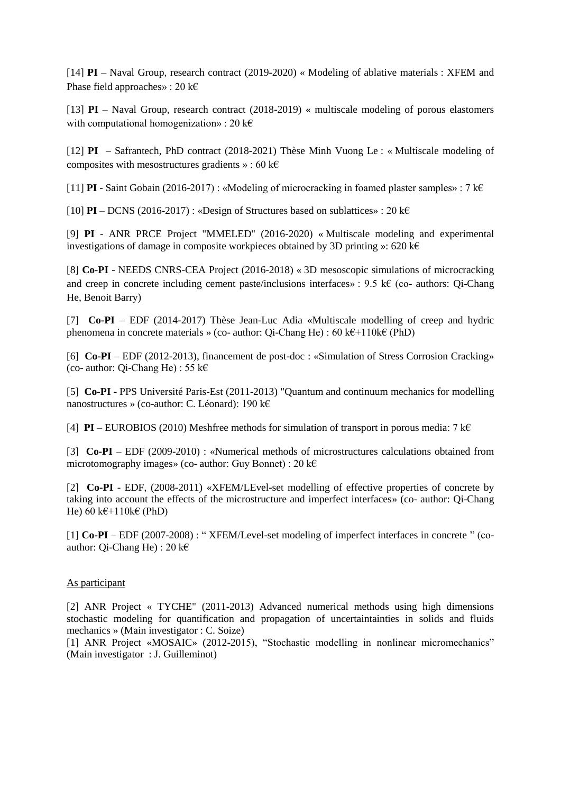[14] **PI** – Naval Group, research contract (2019-2020) « Modeling of ablative materials : XFEM and Phase field approaches» : 20 k $\epsilon$ 

[13] **PI** – Naval Group, research contract (2018-2019) « multiscale modeling of porous elastomers with computational homogenization» : 20  $k \in \mathbb{R}$ 

[12] **PI** – Safrantech, PhD contract (2018-2021) Thèse Minh Vuong Le : « Multiscale modeling of composites with mesostructures gradients » : 60 k $\epsilon$ 

[11] **PI** - Saint Gobain (2016-2017) : «Modeling of microcracking in foamed plaster samples» : 7 k $\epsilon$ 

[10] **PI** – DCNS (2016-2017) : «Design of Structures based on sublattices» : 20 k $\epsilon$ 

[9] **PI** - ANR PRCE Project "MMELED" (2016-2020) « Multiscale modeling and experimental investigations of damage in composite workpieces obtained by 3D printing »: 620 k $\epsilon$ 

[8] **Co-PI** - NEEDS CNRS-CEA Project (2016-2018) « 3D mesoscopic simulations of microcracking and creep in concrete including cement paste/inclusions interfaces» : 9.5 k€ (co- authors: Oi-Chang He, Benoit Barry)

[7] **Co-PI** – EDF (2014-2017) Thèse Jean-Luc Adia «Multiscale modelling of creep and hydric phenomena in concrete materials » (co- author: Qi-Chang He) : 60 k€+110k€ (PhD)

[6] **Co-PI** – EDF (2012-2013), financement de post-doc : «Simulation of Stress Corrosion Cracking» (co- author: Qi-Chang He) : 55 k€

[5] **Co-PI** - PPS Université Paris-Est (2011-2013) "Quantum and continuum mechanics for modelling nanostructures » (co-author: C. Léonard): 190 k€

[4] **PI** – EUROBIOS (2010) Meshfree methods for simulation of transport in porous media: 7 k $\epsilon$ 

[3] **Co-PI** – EDF (2009-2010) : «Numerical methods of microstructures calculations obtained from microtomography images» (co- author: Guy Bonnet) : 20 k€

[2] **Co-PI** - EDF, (2008-2011) «XFEM/LEvel-set modelling of effective properties of concrete by taking into account the effects of the microstructure and imperfect interfaces» (co- author: Qi-Chang He)  $60 \text{ k} \in \pm 110 \text{ k} \in (PhD)$ 

[1] **Co-PI** – EDF (2007-2008) : " XFEM/Level-set modeling of imperfect interfaces in concrete " (coauthor: Qi-Chang He) :  $20 \text{ kf}$ 

#### As participant

[2] ANR Project « TYCHE" (2011-2013) Advanced numerical methods using high dimensions stochastic modeling for quantification and propagation of uncertaintainties in solids and fluids mechanics » (Main investigator : C. Soize)

[1] ANR Project «MOSAIC» (2012-2015), "Stochastic modelling in nonlinear micromechanics" (Main investigator : J. Guilleminot)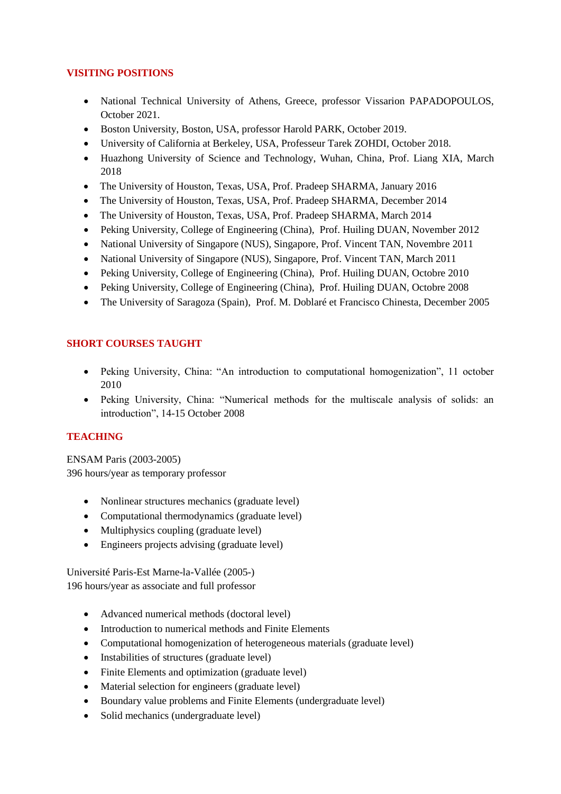## **VISITING POSITIONS**

- National Technical University of Athens, Greece, professor Vissarion PAPADOPOULOS, October 2021.
- Boston University, Boston, USA, professor Harold PARK, October 2019.
- University of California at Berkeley, USA, Professeur Tarek ZOHDI, October 2018.
- Huazhong University of Science and Technology, Wuhan, China, Prof. Liang XIA, March 2018
- The University of Houston, Texas, USA, Prof. Pradeep SHARMA, January 2016
- The University of Houston, Texas, USA, Prof. Pradeep SHARMA, December 2014
- The University of Houston, Texas, USA, Prof. Pradeep SHARMA, March 2014
- Peking University, College of Engineering (China), Prof. Huiling DUAN, November 2012
- National University of Singapore (NUS), Singapore, Prof. Vincent TAN, Novembre 2011
- National University of Singapore (NUS), Singapore, Prof. Vincent TAN, March 2011
- Peking University, College of Engineering (China), Prof. Huiling DUAN, Octobre 2010
- Peking University, College of Engineering (China), Prof. Huiling DUAN, Octobre 2008
- The University of Saragoza (Spain), Prof. M. Doblaré et Francisco Chinesta, December 2005

# **SHORT COURSES TAUGHT**

- Peking University, China: "An introduction to computational homogenization", 11 october 2010
- Peking University, China: "Numerical methods for the multiscale analysis of solids: an introduction", 14-15 October 2008

# **TEACHING**

ENSAM Paris (2003-2005) 396 hours/year as temporary professor

- Nonlinear structures mechanics (graduate level)
- Computational thermodynamics (graduate level)
- Multiphysics coupling (graduate level)
- Engineers projects advising (graduate level)

Université Paris-Est Marne-la-Vallée (2005-) 196 hours/year as associate and full professor

- Advanced numerical methods (doctoral level)
- Introduction to numerical methods and Finite Elements
- Computational homogenization of heterogeneous materials (graduate level)
- Instabilities of structures (graduate level)
- Finite Elements and optimization (graduate level)
- Material selection for engineers (graduate level)
- Boundary value problems and Finite Elements (undergraduate level)
- Solid mechanics (undergraduate level)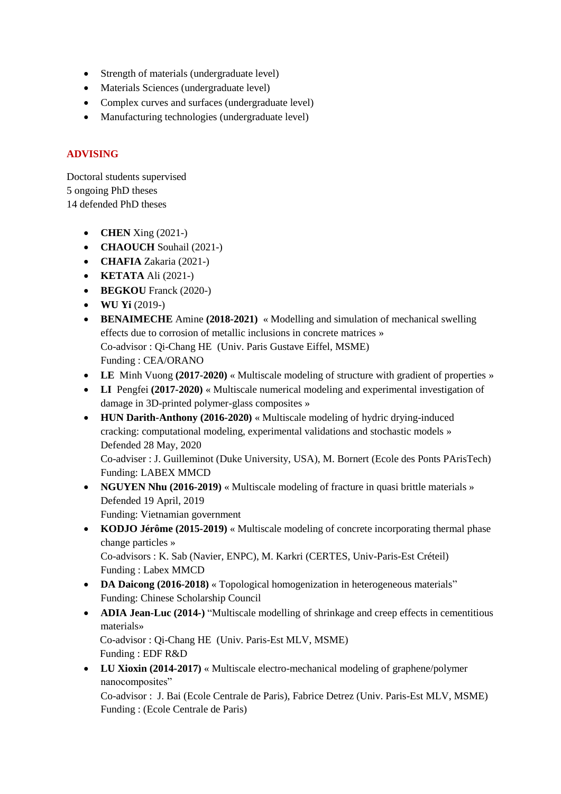- Strength of materials (undergraduate level)
- Materials Sciences (undergraduate level)
- Complex curves and surfaces (undergraduate level)
- Manufacturing technologies (undergraduate level)

## **ADVISING**

Doctoral students supervised 5 ongoing PhD theses 14 defended PhD theses

- **CHEN** Xing (2021-)
- **CHAOUCH** Souhail (2021-)
- **CHAFIA** Zakaria (2021-)
- **KETATA** Ali (2021-)
- **BEGKOU** Franck (2020-)
- $\bullet$  **WU Yi** (2019-)
- **BENAIMECHE** Amine **(2018-2021)** « Modelling and simulation of mechanical swelling effects due to corrosion of metallic inclusions in concrete matrices » Co-advisor : Qi-Chang HE (Univ. Paris Gustave Eiffel, MSME) Funding : CEA/ORANO
- **LE** Minh Vuong **(2017-2020)** « Multiscale modeling of structure with gradient of properties »
- **LI** Pengfei **(2017-2020)** « Multiscale numerical modeling and experimental investigation of damage in 3D-printed polymer-glass composites »
- **HUN Darith-Anthony (2016-2020)** « Multiscale modeling of hydric drying-induced cracking: computational modeling, experimental validations and stochastic models » Defended 28 May, 2020

Co-adviser : J. Guilleminot (Duke University, USA), M. Bornert (Ecole des Ponts PArisTech) Funding: LABEX MMCD

- NGUYEN Nhu (2016-2019) « Multiscale modeling of fracture in quasi brittle materials » Defended 19 April, 2019 Funding: Vietnamian government
- **KODJO Jérôme (2015-2019)** « Multiscale modeling of concrete incorporating thermal phase change particles » Co-advisors : K. Sab (Navier, ENPC), M. Karkri (CERTES, Univ-Paris-Est Créteil) Funding : Labex MMCD
- **DA Daicong (2016-2018)** « Topological homogenization in heterogeneous materials" Funding: Chinese Scholarship Council
- **ADIA Jean-Luc (2014-)** "Multiscale modelling of shrinkage and creep effects in cementitious materials» Co-advisor : Qi-Chang HE (Univ. Paris-Est MLV, MSME) Funding : EDF R&D
- **LU Xioxin (2014-2017)** « Multiscale electro-mechanical modeling of graphene/polymer nanocomposites"

Co-advisor : J. Bai (Ecole Centrale de Paris), Fabrice Detrez (Univ. Paris-Est MLV, MSME) Funding : (Ecole Centrale de Paris)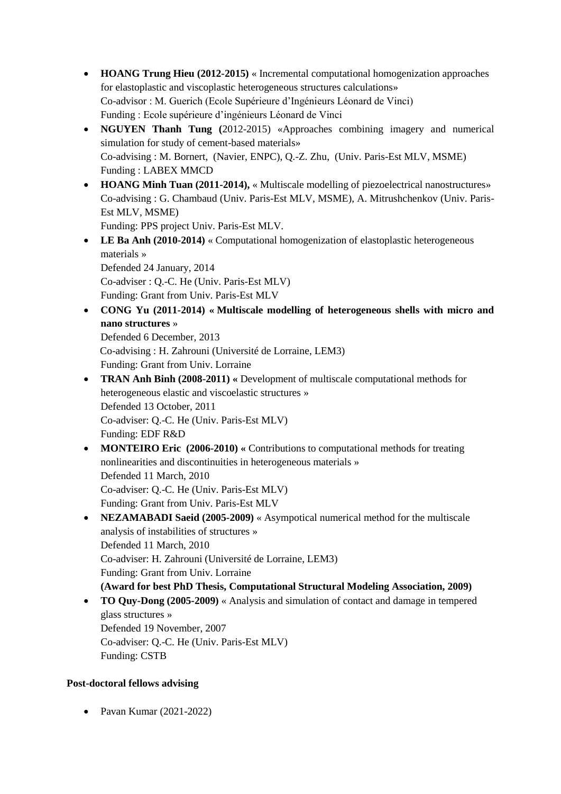- **HOANG Trung Hieu (2012-2015)** « Incremental computational homogenization approaches for elastoplastic and viscoplastic heterogeneous structures calculations» Co-advisor : M. Guerich (Ecole Supérieure d'Ingénieurs Léonard de Vinci) Funding : Ecole supérieure d'ingénieurs Léonard de Vinci
- **NGUYEN Thanh Tung (**2012-2015) «Approaches combining imagery and numerical simulation for study of cement-based materials» Co-advising : M. Bornert, (Navier, ENPC), Q.-Z. Zhu, (Univ. Paris-Est MLV, MSME) Funding : LABEX MMCD
- HOANG Minh Tuan (2011-2014), « Multiscale modelling of piezoelectrical nanostructures» Co-advising : G. Chambaud (Univ. Paris-Est MLV, MSME), A. Mitrushchenkov (Univ. Paris-Est MLV, MSME)

Funding: PPS project Univ. Paris-Est MLV.

• LE Ba Anh (2010-2014) « Computational homogenization of elastoplastic heterogeneous materials » Defended 24 January, 2014 Co-adviser : Q.-C. He (Univ. Paris-Est MLV)

Funding: Grant from Univ. Paris-Est MLV

 **CONG Yu (2011-2014) « Multiscale modelling of heterogeneous shells with micro and nano structures** »

Defended 6 December, 2013 Co-advising : H. Zahrouni (Université de Lorraine, LEM3) Funding: Grant from Univ. Lorraine

- **TRAN Anh Binh (2008-2011) «** Development of multiscale computational methods for heterogeneous elastic and viscoelastic structures » Defended 13 October, 2011 Co-adviser: Q.-C. He (Univ. Paris-Est MLV) Funding: EDF R&D
- **MONTEIRO Eric** (2006-2010) « Contributions to computational methods for treating nonlinearities and discontinuities in heterogeneous materials » Defended 11 March, 2010 Co-adviser: Q.-C. He (Univ. Paris-Est MLV) Funding: Grant from Univ. Paris-Est MLV
- **NEZAMABADI Saeid (2005-2009)** « Asympotical numerical method for the multiscale analysis of instabilities of structures » Defended 11 March, 2010 Co-adviser: H. Zahrouni (Université de Lorraine, LEM3) Funding: Grant from Univ. Lorraine **(Award for best PhD Thesis, Computational Structural Modeling Association, 2009)**
- **TO Quy-Dong (2005-2009)** « Analysis and simulation of contact and damage in tempered glass structures » Defended 19 November, 2007 Co-adviser: Q.-C. He (Univ. Paris-Est MLV) Funding: CSTB

# **Post-doctoral fellows advising**

• Pavan Kumar (2021-2022)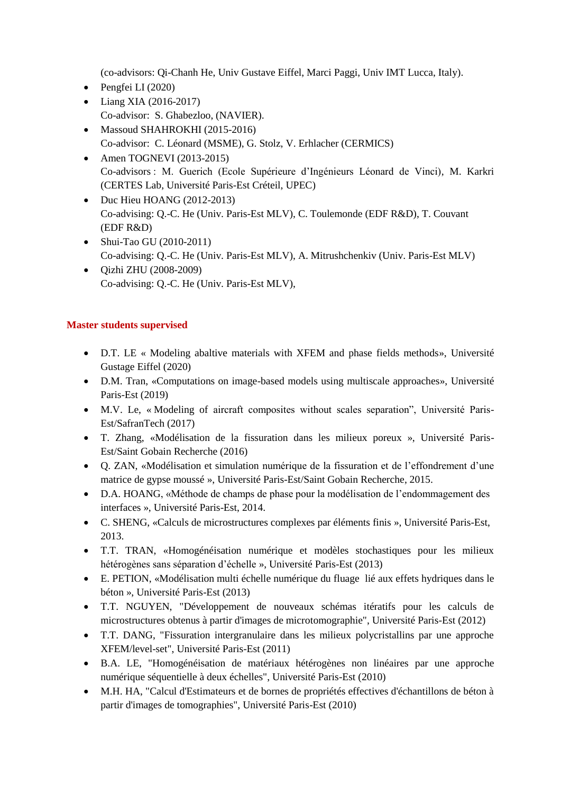(co-advisors: Qi-Chanh He, Univ Gustave Eiffel, Marci Paggi, Univ IMT Lucca, Italy).

- $\bullet$  Pengfei LI (2020)
- Liang XIA (2016-2017) Co-advisor: S. Ghabezloo, (NAVIER).
- Massoud SHAHROKHI (2015-2016) Co-advisor: C. Léonard (MSME), G. Stolz, V. Erhlacher (CERMICS)
- $\bullet$  Amen TOGNEVI (2013-2015) Co-advisors : M. Guerich (Ecole Supérieure d'Ingénieurs Léonard de Vinci), M. Karkri (CERTES Lab, Université Paris-Est Créteil, UPEC)
- Duc Hieu HOANG (2012-2013) Co-advising: Q.-C. He (Univ. Paris-Est MLV), C. Toulemonde (EDF R&D), T. Couvant (EDF R&D)
- Shui-Tao GU (2010-2011) Co-advising: Q.-C. He (Univ. Paris-Est MLV), A. Mitrushchenkiv (Univ. Paris-Est MLV)
- Qizhi ZHU (2008-2009) Co-advising: Q.-C. He (Univ. Paris-Est MLV),

## **Master students supervised**

- D.T. LE « Modeling abaltive materials with XFEM and phase fields methods», Université Gustage Eiffel (2020)
- D.M. Tran, «Computations on image-based models using multiscale approaches», Université Paris-Est (2019)
- M.V. Le, « Modeling of aircraft composites without scales separation", Université Paris-Est/SafranTech (2017)
- T. Zhang, «Modélisation de la fissuration dans les milieux poreux », Université Paris-Est/Saint Gobain Recherche (2016)
- Q. ZAN, «Modélisation et simulation numérique de la fissuration et de l'effondrement d'une matrice de gypse moussé », Université Paris-Est/Saint Gobain Recherche, 2015.
- D.A. HOANG, «Méthode de champs de phase pour la modélisation de l'endommagement des interfaces », Université Paris-Est, 2014.
- C. SHENG, «Calculs de microstructures complexes par éléments finis », Université Paris-Est, 2013.
- T.T. TRAN, «Homogénéisation numérique et modèles stochastiques pour les milieux hétérogènes sans séparation d'échelle », Université Paris-Est (2013)
- E. PETION, «Modélisation multi échelle numérique du fluage lié aux effets hydriques dans le béton », Université Paris-Est (2013)
- T.T. NGUYEN, "Développement de nouveaux schémas itératifs pour les calculs de microstructures obtenus à partir d'images de microtomographie", Université Paris-Est (2012)
- T.T. DANG, "Fissuration intergranulaire dans les milieux polycristallins par une approche XFEM/level-set", Université Paris-Est (2011)
- B.A. LE, "Homogénéisation de matériaux hétérogènes non linéaires par une approche numérique séquentielle à deux échelles", Université Paris-Est (2010)
- M.H. HA, "Calcul d'Estimateurs et de bornes de propriétés effectives d'échantillons de béton à partir d'images de tomographies", Université Paris-Est (2010)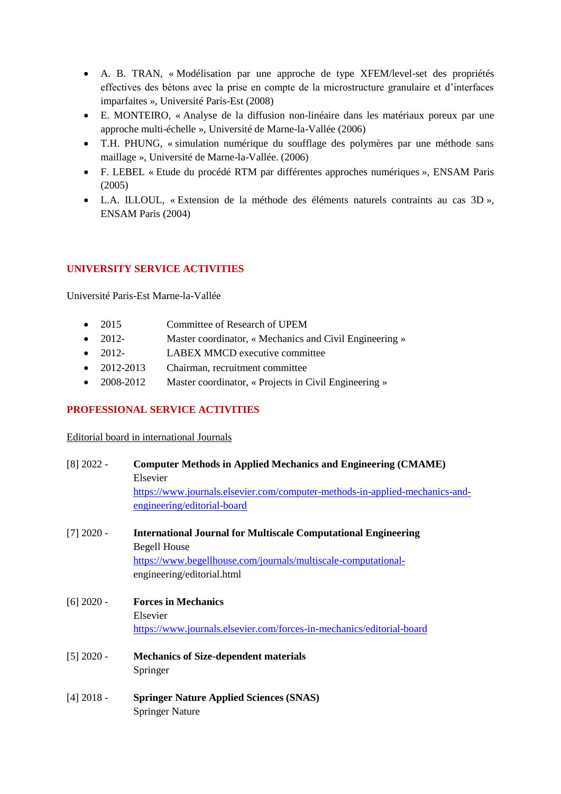- A. B. TRAN, « Modélisation par une approche de type XFEM/level-set des propriétés effectives des bétons avec la prise en compte de la microstructure granulaire et d'interfaces imparfaites », Université Paris-Est (2008)
- E. MONTEIRO, « Analyse de la diffusion non-linéaire dans les matériaux poreux par une approche multi-échelle », Université de Marne-la-Vallée (2006)
- T.H. PHUNG, « simulation numérique du soufflage des polymères par une méthode sans maillage », Université de Marne-la-Vallée. (2006)
- F. LEBEL « Etude du procédé RTM par différentes approches numériques », ENSAM Paris (2005)
- L.A. ILLOUL, « Extension de la méthode des éléments naturels contraints au cas 3D », ENSAM Paris (2004)

# **UNIVERSITY SERVICE ACTIVITIES**

Université Paris-Est Marne-la-Vallée

- 2015 Committee of Research of UPEM
- 2012- Master coordinator, « Mechanics and Civil Engineering »
- 2012- LABEX MMCD executive committee
- 2012-2013 Chairman, recruitment committee
- 2008-2012 Master coordinator, « Projects in Civil Engineering »

## **PROFESSIONAL SERVICE ACTIVITIES**

Editorial board in international Journals

| $[8]$ 2022 - | <b>Computer Methods in Applied Mechanics and Engineering (CMAME)</b>         |  |
|--------------|------------------------------------------------------------------------------|--|
|              | Elsevier                                                                     |  |
|              | https://www.journals.elsevier.com/computer-methods-in-applied-mechanics-and- |  |
|              | engineering/editorial-board                                                  |  |
| $[7]$ 2020 - | <b>International Journal for Multiscale Computational Engineering</b>        |  |
|              | <b>Begell House</b>                                                          |  |
|              | https://www.begellhouse.com/journals/multiscale-computational-               |  |
|              | engineering/editorial.html                                                   |  |
| $[6]$ 2020 - | <b>Forces in Mechanics</b>                                                   |  |
|              | Elsevier                                                                     |  |
|              | https://www.journals.elsevier.com/forces-in-mechanics/editorial-board        |  |
| $[5]$ 2020 - | <b>Mechanics of Size-dependent materials</b>                                 |  |
|              | Springer                                                                     |  |
| $[4]$ 2018 - | <b>Springer Nature Applied Sciences (SNAS)</b>                               |  |
|              | <b>Springer Nature</b>                                                       |  |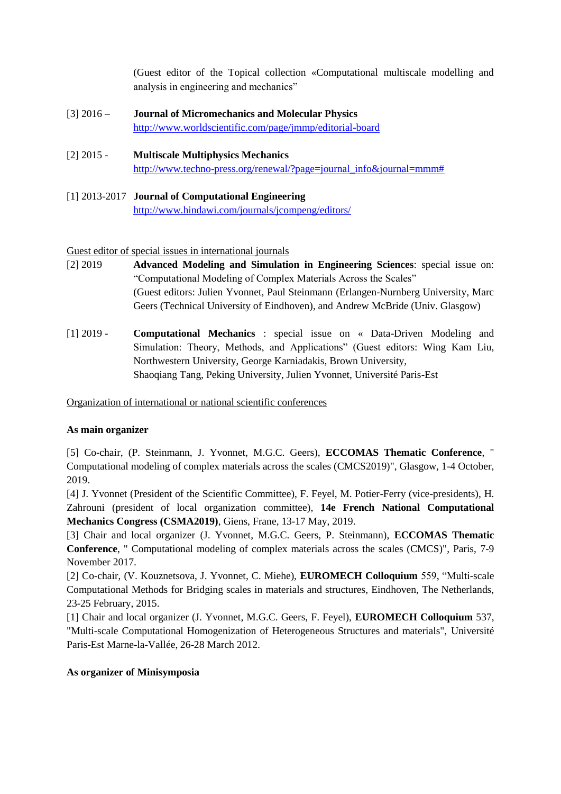(Guest editor of the Topical collection «Computational multiscale modelling and analysis in engineering and mechanics"

- [3] 2016 **Journal of Micromechanics and Molecular Physics** <http://www.worldscientific.com/page/jmmp/editorial-board>
- [2] 2015 **Multiscale Multiphysics Mechanics** [http://www.techno-press.org/renewal/?page=journal\\_info&journal=mmm#](http://www.techno-press.org/renewal/?page=journal_info&journal=mmm)
- [1] 2013-2017 **Journal of Computational Engineering** <http://www.hindawi.com/journals/jcompeng/editors/>

### Guest editor of special issues in international journals

- [2] 2019 **Advanced Modeling and Simulation in Engineering Sciences**: special issue on: "Computational Modeling of Complex Materials Across the Scales" (Guest editors: Julien Yvonnet, Paul Steinmann (Erlangen-Nurnberg University, Marc Geers (Technical University of Eindhoven), and Andrew McBride (Univ. Glasgow)
- [1] 2019 **Computational Mechanics** : special issue on « Data-Driven Modeling and Simulation: Theory, Methods, and Applications" (Guest editors: Wing Kam Liu, Northwestern University, George Karniadakis, Brown University, Shaoqiang Tang, Peking University, Julien Yvonnet, Université Paris-Est

Organization of international or national scientific conferences

## **As main organizer**

[5] Co-chair, (P. Steinmann, J. Yvonnet, M.G.C. Geers), **ECCOMAS Thematic Conference**, " Computational modeling of complex materials across the scales (CMCS2019)", Glasgow, 1-4 October, 2019.

[4] J. Yvonnet (President of the Scientific Committee), F. Feyel, M. Potier-Ferry (vice-presidents), H. Zahrouni (president of local organization committee), **14e French National Computational Mechanics Congress (CSMA2019)**, Giens, Frane, 13-17 May, 2019.

[3] Chair and local organizer (J. Yvonnet, M.G.C. Geers, P. Steinmann), **ECCOMAS Thematic Conference**, " Computational modeling of complex materials across the scales (CMCS)", Paris, 7-9 November 2017.

[2] Co-chair, (V. Kouznetsova, J. Yvonnet, C. Miehe), **EUROMECH Colloquium** 559, "Multi-scale Computational Methods for Bridging scales in materials and structures, Eindhoven, The Netherlands, 23-25 February, 2015.

[1] Chair and local organizer (J. Yvonnet, M.G.C. Geers, F. Feyel), **EUROMECH Colloquium** 537, "Multi-scale Computational Homogenization of Heterogeneous Structures and materials", Université Paris-Est Marne-la-Vallée, 26-28 March 2012.

#### **As organizer of Minisymposia**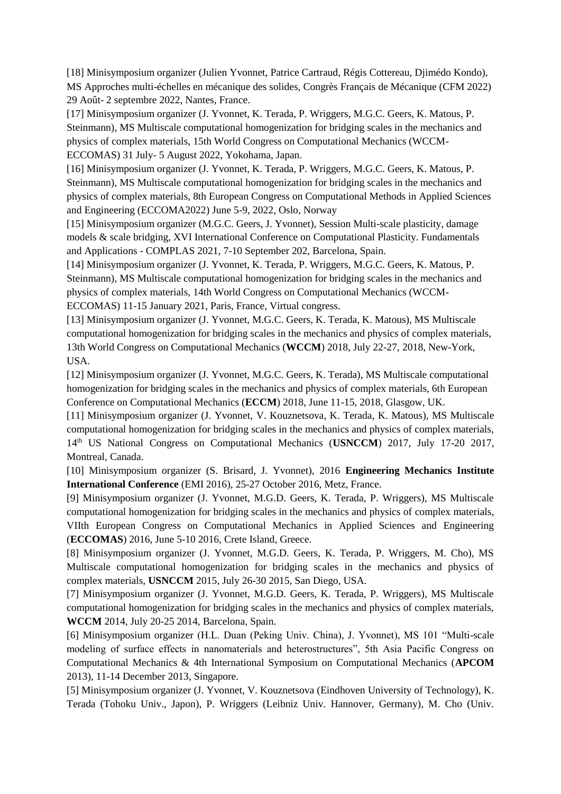[18] Minisymposium organizer (Julien Yvonnet, Patrice Cartraud, Régis Cottereau, Djimédo Kondo), MS Approches multi-échelles en mécanique des solides, Congrès Français de Mécanique (CFM 2022) 29 Août- 2 septembre 2022, Nantes, France.

[17] Minisymposium organizer (J. Yvonnet, K. Terada, P. Wriggers, M.G.C. Geers, K. Matous, P. Steinmann), MS Multiscale computational homogenization for bridging scales in the mechanics and physics of complex materials, 15th World Congress on Computational Mechanics (WCCM-ECCOMAS) 31 July- 5 August 2022, Yokohama, Japan.

[16] Minisymposium organizer (J. Yvonnet, K. Terada, P. Wriggers, M.G.C. Geers, K. Matous, P. Steinmann), MS Multiscale computational homogenization for bridging scales in the mechanics and physics of complex materials, 8th European Congress on Computational Methods in Applied Sciences and Engineering (ECCOMA2022) June 5-9, 2022, Oslo, Norway

[15] Minisymposium organizer (M.G.C. Geers, J. Yvonnet), Session Multi-scale plasticity, damage models & scale bridging, XVI International Conference on Computational Plasticity. Fundamentals and Applications - COMPLAS 2021, 7-10 September 202, Barcelona, Spain.

[14] Minisymposium organizer (J. Yvonnet, K. Terada, P. Wriggers, M.G.C. Geers, K. Matous, P. Steinmann), MS Multiscale computational homogenization for bridging scales in the mechanics and physics of complex materials, 14th World Congress on Computational Mechanics (WCCM-ECCOMAS) 11-15 January 2021, Paris, France, Virtual congress.

[13] Minisymposium organizer (J. Yvonnet, M.G.C. Geers, K. Terada, K. Matous), MS Multiscale computational homogenization for bridging scales in the mechanics and physics of complex materials, 13th World Congress on Computational Mechanics (**WCCM**) 2018, July 22-27, 2018, New-York, USA.

[12] Minisymposium organizer (J. Yvonnet, M.G.C. Geers, K. Terada), MS Multiscale computational homogenization for bridging scales in the mechanics and physics of complex materials, 6th European Conference on Computational Mechanics (**ECCM**) 2018, June 11-15, 2018, Glasgow, UK.

[11] Minisymposium organizer (J. Yvonnet, V. Kouznetsova, K. Terada, K. Matous), MS Multiscale computational homogenization for bridging scales in the mechanics and physics of complex materials, 14th US National Congress on Computational Mechanics (**USNCCM**) 2017, July 17-20 2017, Montreal, Canada.

[10] Minisymposium organizer (S. Brisard, J. Yvonnet), 2016 **Engineering Mechanics Institute International Conference** (EMI 2016), 25-27 October 2016, Metz, France.

[9] Minisymposium organizer (J. Yvonnet, M.G.D. Geers, K. Terada, P. Wriggers), MS Multiscale computational homogenization for bridging scales in the mechanics and physics of complex materials, VIIth European Congress on Computational Mechanics in Applied Sciences and Engineering (**ECCOMAS**) 2016, June 5-10 2016, Crete Island, Greece.

[8] Minisymposium organizer (J. Yvonnet, M.G.D. Geers, K. Terada, P. Wriggers, M. Cho), MS Multiscale computational homogenization for bridging scales in the mechanics and physics of complex materials, **USNCCM** 2015, July 26-30 2015, San Diego, USA.

[7] Minisymposium organizer (J. Yvonnet, M.G.D. Geers, K. Terada, P. Wriggers), MS Multiscale computational homogenization for bridging scales in the mechanics and physics of complex materials, **WCCM** 2014, July 20-25 2014, Barcelona, Spain.

[6] Minisymposium organizer (H.L. Duan (Peking Univ. China), J. Yvonnet), MS 101 "Multi-scale modeling of surface effects in nanomaterials and heterostructures", 5th Asia Pacific Congress on Computational Mechanics & 4th International Symposium on Computational Mechanics (**APCOM** 2013), 11-14 December 2013, Singapore.

[5] Minisymposium organizer (J. Yvonnet, V. Kouznetsova (Eindhoven University of Technology), K. Terada (Tohoku Univ., Japon), P. Wriggers (Leibniz Univ. Hannover, Germany), M. Cho (Univ.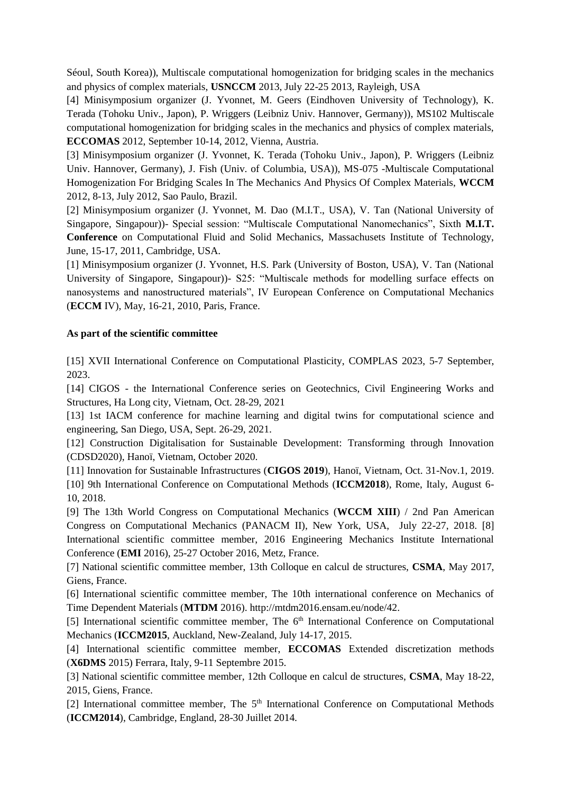Séoul, South Korea)), Multiscale computational homogenization for bridging scales in the mechanics and physics of complex materials, **USNCCM** 2013, July 22-25 2013, Rayleigh, USA

[4] Minisymposium organizer (J. Yvonnet, M. Geers (Eindhoven University of Technology), K. Terada (Tohoku Univ., Japon), P. Wriggers (Leibniz Univ. Hannover, Germany)), MS102 Multiscale computational homogenization for bridging scales in the mechanics and physics of complex materials, **ECCOMAS** 2012, September 10-14, 2012, Vienna, Austria.

[3] Minisymposium organizer (J. Yvonnet, K. Terada (Tohoku Univ., Japon), P. Wriggers (Leibniz Univ. Hannover, Germany), J. Fish (Univ. of Columbia, USA)), MS-075 -Multiscale Computational Homogenization For Bridging Scales In The Mechanics And Physics Of Complex Materials, **WCCM** 2012, 8-13, July 2012, Sao Paulo, Brazil.

[2] Minisymposium organizer (J. Yvonnet, M. Dao (M.I.T., USA), V. Tan (National University of Singapore, Singapour))- Special session: "Multiscale Computational Nanomechanics", Sixth **M.I.T. Conference** on Computational Fluid and Solid Mechanics, Massachusets Institute of Technology, June, 15-17, 2011, Cambridge, USA.

[1] Minisymposium organizer (J. Yvonnet, H.S. Park (University of Boston, USA), V. Tan (National University of Singapore, Singapour))- S25: "Multiscale methods for modelling surface effects on nanosystems and nanostructured materials", IV European Conference on Computational Mechanics (**ECCM** IV), May, 16-21, 2010, Paris, France.

### **As part of the scientific committee**

[15] XVII International Conference on Computational Plasticity, COMPLAS 2023, 5-7 September, 2023.

[14] CIGOS - the International Conference series on Geotechnics, Civil Engineering Works and Structures, Ha Long city, Vietnam, Oct. 28-29, 2021

[13] 1st IACM conference for machine learning and digital twins for computational science and engineering, San Diego, USA, Sept. 26-29, 2021.

[12] Construction Digitalisation for Sustainable Development: Transforming through Innovation (CDSD2020), Hanoï, Vietnam, October 2020.

[11] Innovation for Sustainable Infrastructures (**CIGOS 2019**), Hanoï, Vietnam, Oct. 31-Nov.1, 2019. [10] 9th International Conference on Computational Methods (**ICCM2018**), Rome, Italy, August 6- 10, 2018.

[9] The 13th World Congress on Computational Mechanics (**WCCM XIII**) / 2nd Pan American Congress on Computational Mechanics (PANACM II), New York, USA, July 22-27, 2018. [8] International scientific committee member, 2016 Engineering Mechanics Institute International Conference (**EMI** 2016), 25-27 October 2016, Metz, France.

[7] National scientific committee member, 13th Colloque en calcul de structures, **CSMA**, May 2017, Giens, France.

[6] International scientific committee member, The 10th international conference on Mechanics of Time Dependent Materials (**MTDM** 2016). http://mtdm2016.ensam.eu/node/42.

[5] International scientific committee member, The  $6<sup>th</sup>$  International Conference on Computational Mechanics (**ICCM2015**, Auckland, New-Zealand, July 14-17, 2015.

[4] International scientific committee member, **ECCOMAS** Extended discretization methods (**X6DMS** 2015) Ferrara, Italy, 9-11 Septembre 2015.

[3] National scientific committee member, 12th Colloque en calcul de structures, **CSMA**, May 18-22, 2015, Giens, France.

[2] International committee member, The  $5<sup>th</sup>$  International Conference on Computational Methods (**ICCM2014**), Cambridge, England, 28-30 Juillet 2014.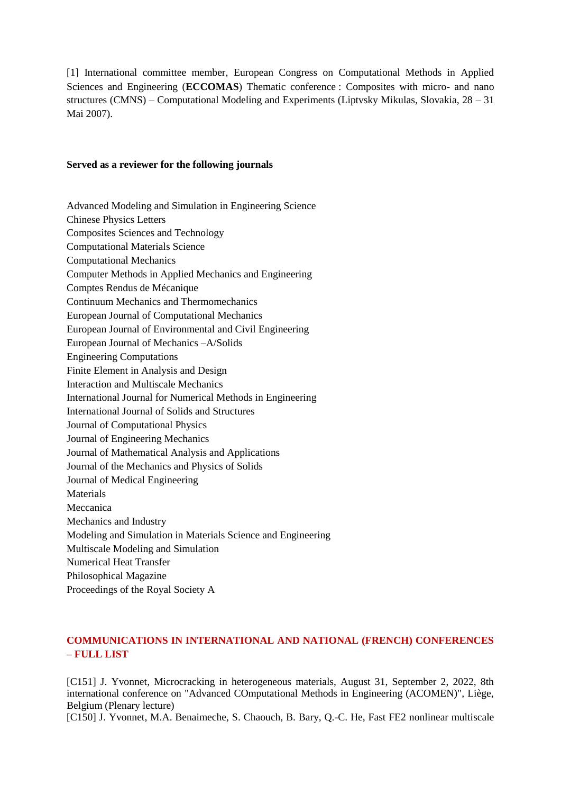[1] International committee member, European Congress on Computational Methods in Applied Sciences and Engineering (**ECCOMAS**) Thematic conference : Composites with micro- and nano structures (CMNS) – Computational Modeling and Experiments (Liptvsky Mikulas, Slovakia, 28 – 31 Mai 2007).

#### **Served as a reviewer for the following journals**

Advanced Modeling and Simulation in Engineering Science Chinese Physics Letters Composites Sciences and Technology Computational Materials Science Computational Mechanics Computer Methods in Applied Mechanics and Engineering Comptes Rendus de Mécanique Continuum Mechanics and Thermomechanics European Journal of Computational Mechanics European Journal of Environmental and Civil Engineering European Journal of Mechanics –A/Solids Engineering Computations Finite Element in Analysis and Design Interaction and Multiscale Mechanics International Journal for Numerical Methods in Engineering International Journal of Solids and Structures Journal of Computational Physics Journal of Engineering Mechanics Journal of Mathematical Analysis and Applications Journal of the Mechanics and Physics of Solids Journal of Medical Engineering Materials Meccanica Mechanics and Industry Modeling and Simulation in Materials Science and Engineering Multiscale Modeling and Simulation Numerical Heat Transfer Philosophical Magazine Proceedings of the Royal Society A

## **COMMUNICATIONS IN INTERNATIONAL AND NATIONAL (FRENCH) CONFERENCES – FULL LIST**

[C151] J. Yvonnet, Microcracking in heterogeneous materials, August 31, September 2, 2022, 8th international conference on "Advanced COmputational Methods in Engineering (ACOMEN)", Liège, Belgium (Plenary lecture)

[C150] J. Yvonnet, M.A. Benaimeche, S. Chaouch, B. Bary, Q.-C. He, Fast FE2 nonlinear multiscale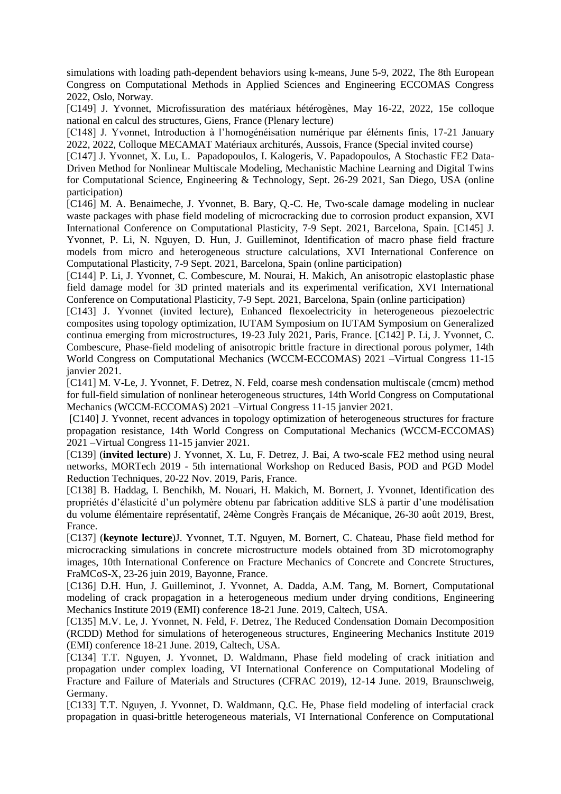simulations with loading path-dependent behaviors using k-means, June 5-9, 2022, The 8th European Congress on Computational Methods in Applied Sciences and Engineering ECCOMAS Congress 2022, Oslo, Norway.

[C149] J. Yvonnet, Microfissuration des matériaux hétérogènes, May 16-22, 2022, 15e colloque national en calcul des structures, Giens, France (Plenary lecture)

[C148] J. Yvonnet, Introduction à l'homogénéisation numérique par éléments finis, 17-21 January 2022, 2022, Colloque MECAMAT Matériaux architurés, Aussois, France (Special invited course)

[C147] J. Yvonnet, X. Lu, L. Papadopoulos, I. Kalogeris, V. Papadopoulos, A Stochastic FE2 Data-Driven Method for Nonlinear Multiscale Modeling, Mechanistic Machine Learning and Digital Twins for Computational Science, Engineering & Technology, Sept. 26-29 2021, San Diego, USA (online participation)

[C146] M. A. Benaimeche, J. Yvonnet, B. Bary, Q.-C. He, Two-scale damage modeling in nuclear waste packages with phase field modeling of microcracking due to corrosion product expansion, XVI International Conference on Computational Plasticity, 7-9 Sept. 2021, Barcelona, Spain. [C145] J. Yvonnet, P. Li, N. Nguyen, D. Hun, J. Guilleminot, Identification of macro phase field fracture models from micro and heterogeneous structure calculations, XVI International Conference on Computational Plasticity, 7-9 Sept. 2021, Barcelona, Spain (online participation)

[C144] P. Li, J. Yvonnet, C. Combescure, M. Nourai, H. Makich, An anisotropic elastoplastic phase field damage model for 3D printed materials and its experimental verification, XVI International Conference on Computational Plasticity, 7-9 Sept. 2021, Barcelona, Spain (online participation)

[C143] J. Yvonnet (invited lecture), Enhanced flexoelectricity in heterogeneous piezoelectric composites using topology optimization, IUTAM Symposium on IUTAM Symposium on Generalized continua emerging from microstructures, 19-23 July 2021, Paris, France. [C142] P. Li, J. Yvonnet, C. Combescure, Phase-field modeling of anisotropic brittle fracture in directional porous polymer, 14th World Congress on Computational Mechanics (WCCM-ECCOMAS) 2021 –Virtual Congress 11-15 janvier 2021.

[C141] M. V-Le, J. Yvonnet, F. Detrez, N. Feld, coarse mesh condensation multiscale (cmcm) method for full-field simulation of nonlinear heterogeneous structures, 14th World Congress on Computational Mechanics (WCCM-ECCOMAS) 2021 –Virtual Congress 11-15 janvier 2021.

[C140] J. Yvonnet, recent advances in topology optimization of heterogeneous structures for fracture propagation resistance, 14th World Congress on Computational Mechanics (WCCM-ECCOMAS) 2021 –Virtual Congress 11-15 janvier 2021.

[C139] (**invited lecture**) J. Yvonnet, X. Lu, F. Detrez, J. Bai, A two-scale FE2 method using neural networks, MORTech 2019 - 5th international Workshop on Reduced Basis, POD and PGD Model Reduction Techniques, 20-22 Nov. 2019, Paris, France.

[C138] B. Haddag, I. Benchikh, M. Nouari, H. Makich, M. Bornert, J. Yvonnet, Identification des propriétés d'élasticité d'un polymère obtenu par fabrication additive SLS à partir d'une modélisation du volume élémentaire représentatif, 24ème Congrès Français de Mécanique, 26-30 août 2019, Brest, France.

[C137] (**keynote lecture**)J. Yvonnet, T.T. Nguyen, M. Bornert, C. Chateau, Phase field method for microcracking simulations in concrete microstructure models obtained from 3D microtomography images, 10th International Conference on Fracture Mechanics of Concrete and Concrete Structures, FraMCoS-X, 23-26 juin 2019, Bayonne, France.

[C136] D.H. Hun, J. Guilleminot, J. Yvonnet, A. Dadda, A.M. Tang, M. Bornert, Computational modeling of crack propagation in a heterogeneous medium under drying conditions, Engineering Mechanics Institute 2019 (EMI) conference 18-21 June. 2019, Caltech, USA.

[C135] M.V. Le, J. Yvonnet, N. Feld, F. Detrez, The Reduced Condensation Domain Decomposition (RCDD) Method for simulations of heterogeneous structures, Engineering Mechanics Institute 2019 (EMI) conference 18-21 June. 2019, Caltech, USA.

[C134] T.T. Nguyen, J. Yvonnet, D. Waldmann, [Phase field modeling of crack initiation and](https://congress.cimne.com/cfrac2019/admin/files/fileabstract/a89.pdf)  [propagation under complex loading,](https://congress.cimne.com/cfrac2019/admin/files/fileabstract/a89.pdf) VI International Conference on Computational Modeling of Fracture and Failure of Materials and Structures (CFRAC 2019), 12-14 June. 2019, Braunschweig, Germany.

[C133] T.T. Nguyen, J. Yvonnet, D. Waldmann, Q.C. He, Phase field modeling of interfacial crack propagation in quasi-brittle heterogeneous materials, VI International Conference on Computational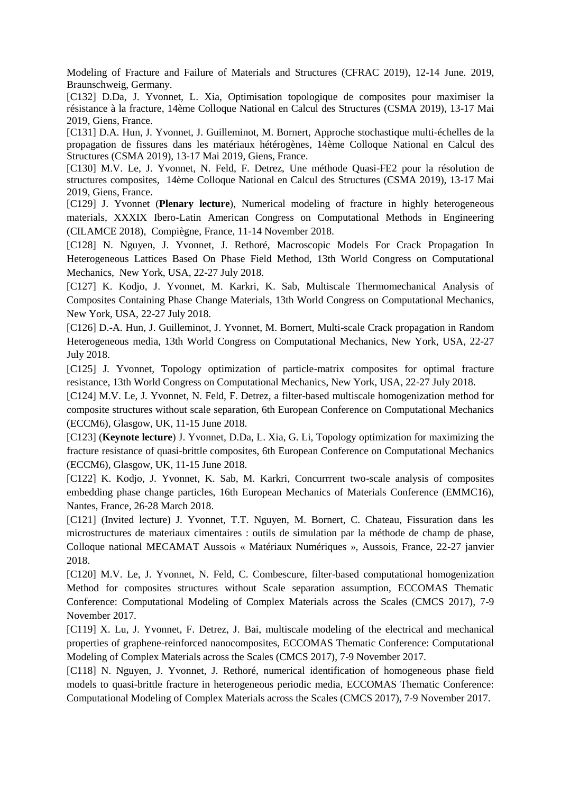Modeling of Fracture and Failure of Materials and Structures (CFRAC 2019), 12-14 June. 2019, Braunschweig, Germany.

[C132] D.Da, J. Yvonnet, L. Xia, Optimisation topologique de composites pour maximiser la résistance à la fracture, 14ème Colloque National en Calcul des Structures (CSMA 2019), 13-17 Mai 2019, Giens, France.

[C131] D.A. Hun, J. Yvonnet, J. Guilleminot, M. Bornert, Approche stochastique multi-échelles de la propagation de fissures dans les matériaux hétérogènes, 14ème Colloque National en Calcul des Structures (CSMA 2019), 13-17 Mai 2019, Giens, France.

[C130] M.V. Le, J. Yvonnet, N. Feld, F. Detrez, Une méthode Quasi-FE2 pour la résolution de structures composites, 14ème Colloque National en Calcul des Structures (CSMA 2019), 13-17 Mai 2019, Giens, France.

[C129] J. Yvonnet (**Plenary lecture**), Numerical modeling of fracture in highly heterogeneous materials, XXXIX Ibero-Latin American Congress on Computational Methods in Engineering (CILAMCE 2018), Compiègne, France, 11-14 November 2018.

[C128] N. Nguyen, J. Yvonnet, J. Rethoré, Macroscopic Models For Crack Propagation In Heterogeneous Lattices Based On Phase Field Method, 13th World Congress on Computational Mechanics, New York, USA, 22-27 July 2018.

[C127] K. Kodjo, J. Yvonnet, M. Karkri, K. Sab, Multiscale Thermomechanical Analysis of Composites Containing Phase Change Materials, 13th World Congress on Computational Mechanics, New York, USA, 22-27 July 2018.

[C126] D.-A. Hun, J. Guilleminot, J. Yvonnet, M. Bornert, Multi-scale Crack propagation in Random Heterogeneous media, 13th World Congress on Computational Mechanics, New York, USA, 22-27 July 2018.

[C125] J. Yvonnet, Topology optimization of particle-matrix composites for optimal fracture resistance, 13th World Congress on Computational Mechanics, New York, USA, 22-27 July 2018.

[C124] M.V. Le, J. Yvonnet, N. Feld, F. Detrez, a filter-based multiscale homogenization method for composite structures without scale separation, 6th European Conference on Computational Mechanics (ECCM6), Glasgow, UK, 11-15 June 2018.

[C123] (**Keynote lecture**) J. Yvonnet, D.Da, L. Xia, G. Li, Topology optimization for maximizing the fracture resistance of quasi-brittle composites, 6th European Conference on Computational Mechanics (ECCM6), Glasgow, UK, 11-15 June 2018.

[C122] K. Kodjo, J. Yvonnet, K. Sab, M. Karkri, Concurrrent two-scale analysis of composites embedding phase change particles, 16th European Mechanics of Materials Conference (EMMC16), Nantes, France, 26-28 March 2018.

[C121] (Invited lecture) J. Yvonnet, T.T. Nguyen, M. Bornert, C. Chateau, Fissuration dans les microstructures de materiaux cimentaires : outils de simulation par la méthode de champ de phase, Colloque national MECAMAT Aussois « Matériaux Numériques », Aussois, France, 22-27 janvier 2018.

[C120] M.V. Le, J. Yvonnet, N. Feld, C. Combescure, filter-based computational homogenization Method for composites structures without Scale separation assumption, ECCOMAS Thematic Conference: Computational Modeling of Complex Materials across the Scales (CMCS 2017), 7-9 November 2017.

[C119] X. Lu, J. Yvonnet, F. Detrez, J. Bai, multiscale modeling of the electrical and mechanical properties of graphene-reinforced nanocomposites, ECCOMAS Thematic Conference: Computational Modeling of Complex Materials across the Scales (CMCS 2017), 7-9 November 2017.

[C118] N. Nguyen, J. Yvonnet, J. Rethoré, numerical identification of homogeneous phase field models to quasi-brittle fracture in heterogeneous periodic media, ECCOMAS Thematic Conference: Computational Modeling of Complex Materials across the Scales (CMCS 2017), 7-9 November 2017.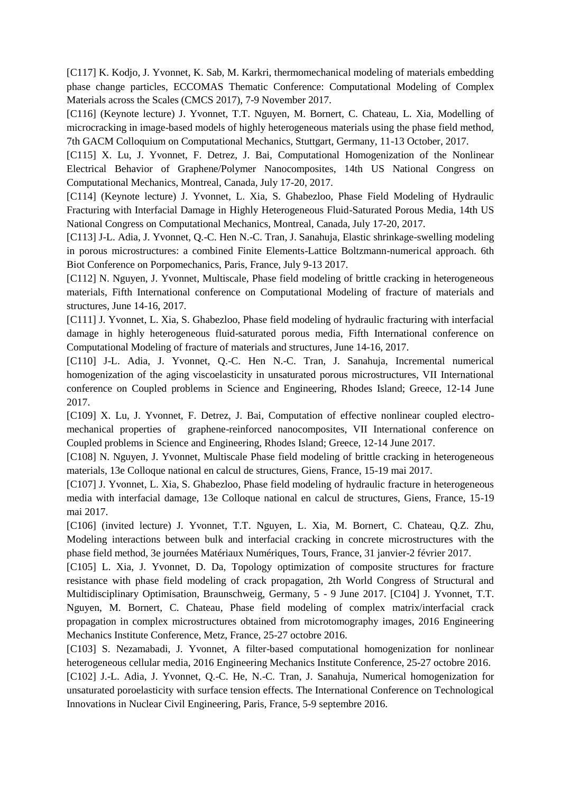[C117] K. Kodjo, J. Yvonnet, K. Sab, M. Karkri, thermomechanical modeling of materials embedding phase change particles, ECCOMAS Thematic Conference: Computational Modeling of Complex Materials across the Scales (CMCS 2017), 7-9 November 2017.

[C116] (Keynote lecture) J. Yvonnet, T.T. Nguyen, M. Bornert, C. Chateau, L. Xia, Modelling of microcracking in image-based models of highly heterogeneous materials using the phase field method, 7th GACM Colloquium on Computational Mechanics, Stuttgart, Germany, 11-13 October, 2017.

[C115] X. Lu, J. Yvonnet, F. Detrez, J. Bai, Computational Homogenization of the Nonlinear Electrical Behavior of Graphene/Polymer Nanocomposites, 14th US National Congress on Computational Mechanics, Montreal, Canada, July 17-20, 2017.

[C114] (Keynote lecture) J. Yvonnet, L. Xia, S. Ghabezloo, Phase Field Modeling of Hydraulic Fracturing with Interfacial Damage in Highly Heterogeneous Fluid-Saturated Porous Media, 14th US National Congress on Computational Mechanics, Montreal, Canada, July 17-20, 2017.

[C113] J-L. Adia, J. Yvonnet, Q.-C. Hen N.-C. Tran, J. Sanahuja, Elastic shrinkage-swelling modeling in porous microstructures: a combined Finite Elements-Lattice Boltzmann-numerical approach. 6th Biot Conference on Porpomechanics, Paris, France, July 9-13 2017.

[C112] N. Nguyen, J. Yvonnet, Multiscale, Phase field modeling of brittle cracking in heterogeneous materials, Fifth International conference on Computational Modeling of fracture of materials and structures, June 14-16, 2017.

[C111] J. Yvonnet, L. Xia, S. Ghabezloo, Phase field modeling of hydraulic fracturing with interfacial damage in highly heterogeneous fluid-saturated porous media, Fifth International conference on Computational Modeling of fracture of materials and structures, June 14-16, 2017.

[C110] J-L. Adia, J. Yvonnet, Q.-C. Hen N.-C. Tran, J. Sanahuja, Incremental numerical homogenization of the aging viscoelasticity in unsaturated porous microstructures, VII International conference on Coupled problems in Science and Engineering, Rhodes Island; Greece, 12-14 June 2017.

[C109] X. Lu, J. Yvonnet, F. Detrez, J. Bai, Computation of effective nonlinear coupled electromechanical properties of graphene-reinforced nanocomposites, VII International conference on Coupled problems in Science and Engineering, Rhodes Island; Greece, 12-14 June 2017.

[C108] N. Nguyen, J. Yvonnet, Multiscale Phase field modeling of brittle cracking in heterogeneous materials, 13e Colloque national en calcul de structures, Giens, France, 15-19 mai 2017.

[C107] J. Yvonnet, L. Xia, S. Ghabezloo, Phase field modeling of hydraulic fracture in heterogeneous media with interfacial damage, 13e Colloque national en calcul de structures, Giens, France, 15-19 mai 2017.

[C106] (invited lecture) J. Yvonnet, T.T. Nguyen, L. Xia, M. Bornert, C. Chateau, Q.Z. Zhu, Modeling interactions between bulk and interfacial cracking in concrete microstructures with the phase field method, 3e journées Matériaux Numériques, Tours, France, 31 janvier-2 février 2017.

[C105] L. Xia, J. Yvonnet, D. Da, Topology optimization of composite structures for fracture resistance with phase field modeling of crack propagation, 2th World Congress of Structural and Multidisciplinary Optimisation, Braunschweig, Germany, 5 - 9 June 2017. [C104] J. Yvonnet, T.T. Nguyen, M. Bornert, C. Chateau, Phase field modeling of complex matrix/interfacial crack propagation in complex microstructures obtained from microtomography images, 2016 Engineering Mechanics Institute Conference, Metz, France, 25-27 octobre 2016.

[C103] S. Nezamabadi, J. Yvonnet, A filter-based computational homogenization for nonlinear heterogeneous cellular media, 2016 Engineering Mechanics Institute Conference, 25-27 octobre 2016.

[C102] J.-L. Adia, J. Yvonnet, Q.-C. He, N.-C. Tran, J. Sanahuja, Numerical homogenization for unsaturated poroelasticity with surface tension effects. The International Conference on Technological Innovations in Nuclear Civil Engineering, Paris, France, 5-9 septembre 2016.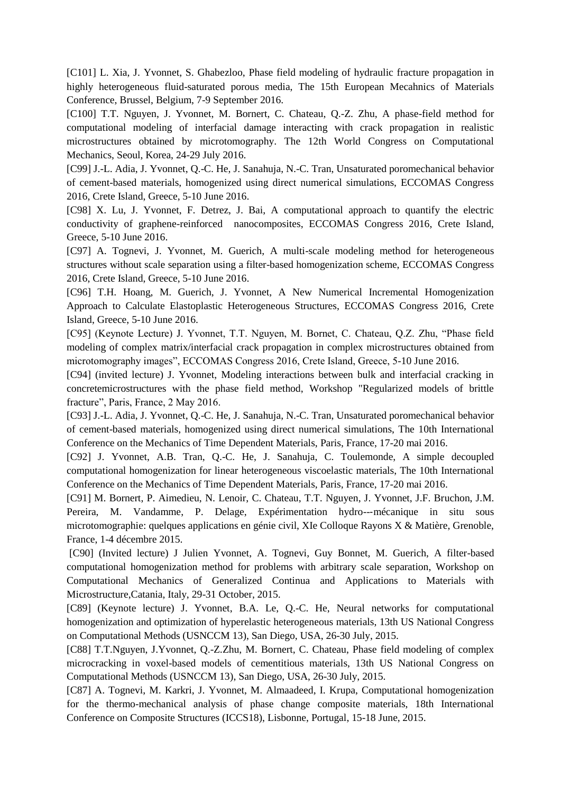[C101] L. Xia, J. Yvonnet, S. Ghabezloo, Phase field modeling of hydraulic fracture propagation in highly heterogeneous fluid-saturated porous media, The 15th European Mecahnics of Materials Conference, Brussel, Belgium, 7-9 September 2016.

[C100] T.T. Nguyen, J. Yvonnet, M. Bornert, C. Chateau, Q.-Z. Zhu, A phase-field method for computational modeling of interfacial damage interacting with crack propagation in realistic microstructures obtained by microtomography. The 12th World Congress on Computational Mechanics, Seoul, Korea, 24-29 July 2016.

[C99] J.-L. Adia, J. Yvonnet, Q.-C. He, J. Sanahuja, N.-C. Tran, Unsaturated poromechanical behavior of cement-based materials, homogenized using direct numerical simulations, ECCOMAS Congress 2016, Crete Island, Greece, 5-10 June 2016.

[C98] X. Lu, J. Yvonnet, F. Detrez, J. Bai, A computational approach to quantify the electric conductivity of graphene-reinforced nanocomposites, ECCOMAS Congress 2016, Crete Island, Greece, 5-10 June 2016.

[C97] A. Tognevi, J. Yvonnet, M. Guerich, A multi-scale modeling method for heterogeneous structures without scale separation using a filter-based homogenization scheme, ECCOMAS Congress 2016, Crete Island, Greece, 5-10 June 2016.

[C96] T.H. Hoang, M. Guerich, J. Yvonnet, A New Numerical Incremental Homogenization Approach to Calculate Elastoplastic Heterogeneous Structures, ECCOMAS Congress 2016, Crete Island, Greece, 5-10 June 2016.

[C95] (Keynote Lecture) J. Yvonnet, T.T. Nguyen, M. Bornet, C. Chateau, Q.Z. Zhu, "Phase field modeling of complex matrix/interfacial crack propagation in complex microstructures obtained from microtomography images", ECCOMAS Congress 2016, Crete Island, Greece, 5-10 June 2016.

[C94] (invited lecture) J. Yvonnet, Modeling interactions between bulk and interfacial cracking in concretemicrostructures with the phase field method, Workshop "Regularized models of brittle fracture", Paris, France, 2 May 2016.

[C93] J.-L. Adia, J. Yvonnet, Q.-C. He, J. Sanahuja, N.-C. Tran, Unsaturated poromechanical behavior of cement-based materials, homogenized using direct numerical simulations, The 10th International Conference on the Mechanics of Time Dependent Materials, Paris, France, 17-20 mai 2016.

[C92] J. Yvonnet, A.B. Tran, Q.-C. He, J. Sanahuja, C. Toulemonde, A simple decoupled computational homogenization for linear heterogeneous viscoelastic materials, The 10th International Conference on the Mechanics of Time Dependent Materials, Paris, France, 17-20 mai 2016.

[C91] M. Bornert, P. Aimedieu, N. Lenoir, C. Chateau, T.T. Nguyen, J. Yvonnet, J.F. Bruchon, J.M. Pereira, M. Vandamme, P. Delage, Expérimentation hydro---mécanique in situ sous microtomographie: quelques applications en génie civil, XIe Colloque Rayons X & Matière, Grenoble, France, 1-4 décembre 2015.

[C90] (Invited lecture) J Julien Yvonnet, A. Tognevi, Guy Bonnet, M. Guerich, A filter-based computational homogenization method for problems with arbitrary scale separation, Workshop on Computational Mechanics of Generalized Continua and Applications to Materials with Microstructure,Catania, Italy, 29-31 October, 2015.

[C89] (Keynote lecture) J. Yvonnet, B.A. Le, Q.-C. He, Neural networks for computational homogenization and optimization of hyperelastic heterogeneous materials, 13th US National Congress on Computational Methods (USNCCM 13), San Diego, USA, 26-30 July, 2015.

[C88] T.T.Nguyen, J.Yvonnet, Q.-Z.Zhu, M. Bornert, C. Chateau, Phase field modeling of complex microcracking in voxel-based models of cementitious materials, 13th US National Congress on Computational Methods (USNCCM 13), San Diego, USA, 26-30 July, 2015.

[C87] A. Tognevi, M. Karkri, J. Yvonnet, M. Almaadeed, I. Krupa, Computational homogenization for the thermo-mechanical analysis of phase change composite materials, 18th International Conference on Composite Structures (ICCS18), Lisbonne, Portugal, 15-18 June, 2015.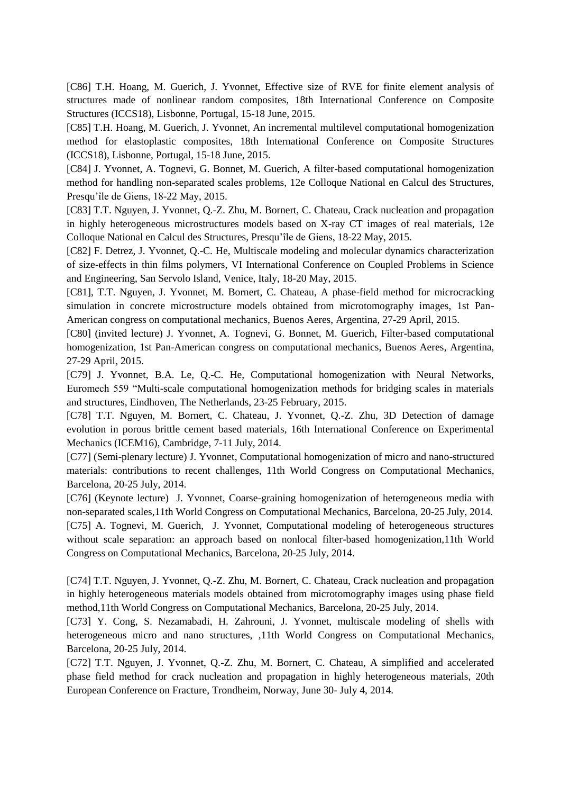[C86] T.H. Hoang, M. Guerich, J. Yvonnet, Effective size of RVE for finite element analysis of structures made of nonlinear random composites, 18th International Conference on Composite Structures (ICCS18), Lisbonne, Portugal, 15-18 June, 2015.

[C85] T.H. Hoang, M. Guerich, J. Yvonnet, An incremental multilevel computational homogenization method for elastoplastic composites, 18th International Conference on Composite Structures (ICCS18), Lisbonne, Portugal, 15-18 June, 2015.

[C84] J. Yvonnet, A. Tognevi, G. Bonnet, M. Guerich, A filter-based computational homogenization method for handling non-separated scales problems, 12e Colloque National en Calcul des Structures, Presqu'île de Giens, 18-22 May, 2015.

[C83] T.T. Nguyen, J. Yvonnet, Q.-Z. Zhu, M. Bornert, C. Chateau, Crack nucleation and propagation in highly heterogeneous microstructures models based on X-ray CT images of real materials, 12e Colloque National en Calcul des Structures, Presqu'île de Giens, 18-22 May, 2015.

[C82] F. Detrez, J. Yvonnet, Q.-C. He, Multiscale modeling and molecular dynamics characterization of size-effects in thin films polymers, VI International Conference on Coupled Problems in Science and Engineering, San Servolo Island, Venice, Italy, 18-20 May, 2015.

[C81], T.T. Nguyen, J. Yvonnet, M. Bornert, C. Chateau, A phase-field method for microcracking simulation in concrete microstructure models obtained from microtomography images, 1st Pan-American congress on computational mechanics, Buenos Aeres, Argentina, 27-29 April, 2015.

[C80] (invited lecture) J. Yvonnet, A. Tognevi, G. Bonnet, M. Guerich, Filter-based computational homogenization, 1st Pan-American congress on computational mechanics, Buenos Aeres, Argentina, 27-29 April, 2015.

[C79] J. Yvonnet, B.A. Le, Q.-C. He, Computational homogenization with Neural Networks, Euromech 559 "Multi-scale computational homogenization methods for bridging scales in materials and structures, Eindhoven, The Netherlands, 23-25 February, 2015.

[C78] T.T. Nguyen, M. Bornert, C. Chateau, J. Yvonnet, Q.-Z. Zhu, 3D Detection of damage evolution in porous brittle cement based materials, 16th International Conference on Experimental Mechanics (ICEM16), Cambridge, 7-11 July, 2014.

[C77] (Semi-plenary lecture) J. Yvonnet, Computational homogenization of micro and nano-structured materials: contributions to recent challenges, 11th World Congress on Computational Mechanics, Barcelona, 20-25 July, 2014.

[C76] (Keynote lecture) J. Yvonnet, Coarse-graining homogenization of heterogeneous media with non-separated scales,11th World Congress on Computational Mechanics, Barcelona, 20-25 July, 2014. [C75] A. Tognevi, M. Guerich, J. Yvonnet, Computational modeling of heterogeneous structures without scale separation: an approach based on nonlocal filter-based homogenization,11th World Congress on Computational Mechanics, Barcelona, 20-25 July, 2014.

[C74] T.T. Nguyen, J. Yvonnet, Q.-Z. Zhu, M. Bornert, C. Chateau, Crack nucleation and propagation in highly heterogeneous materials models obtained from microtomography images using phase field method,11th World Congress on Computational Mechanics, Barcelona, 20-25 July, 2014.

[C73] Y. Cong, S. Nezamabadi, H. Zahrouni, J. Yvonnet, multiscale modeling of shells with heterogeneous micro and nano structures, ,11th World Congress on Computational Mechanics, Barcelona, 20-25 July, 2014.

[C72] T.T. Nguyen, J. Yvonnet, Q.-Z. Zhu, M. Bornert, C. Chateau, A simplified and accelerated phase field method for crack nucleation and propagation in highly heterogeneous materials, 20th European Conference on Fracture, Trondheim, Norway, June 30- July 4, 2014.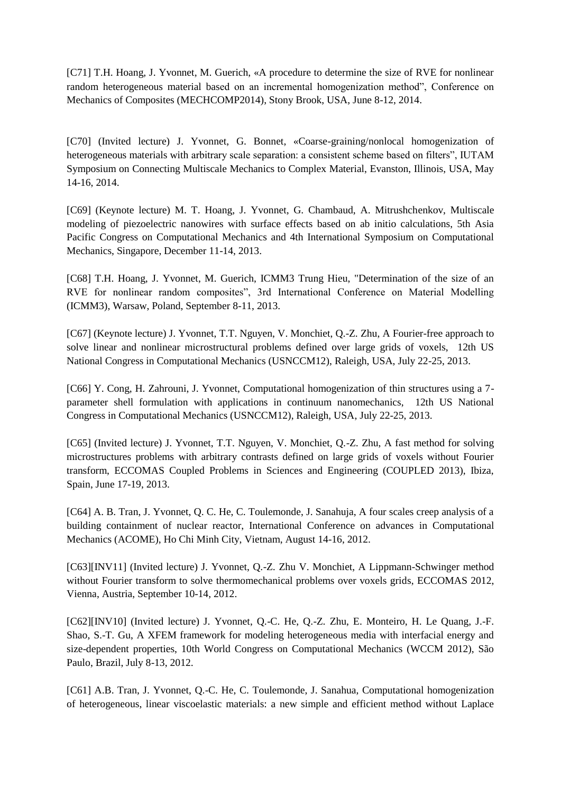[C71] T.H. Hoang, J. Yvonnet, M. Guerich, «A procedure to determine the size of RVE for nonlinear random heterogeneous material based on an incremental homogenization method", Conference on Mechanics of Composites (MECHCOMP2014), Stony Brook, USA, June 8-12, 2014.

[C70] (Invited lecture) J. Yvonnet, G. Bonnet, «Coarse-graining/nonlocal homogenization of heterogeneous materials with arbitrary scale separation: a consistent scheme based on filters", IUTAM Symposium on Connecting Multiscale Mechanics to Complex Material, Evanston, Illinois, USA, May 14-16, 2014.

[C69] (Keynote lecture) M. T. Hoang, J. Yvonnet, G. Chambaud, A. Mitrushchenkov, Multiscale modeling of piezoelectric nanowires with surface effects based on ab initio calculations, 5th Asia Pacific Congress on Computational Mechanics and 4th International Symposium on Computational Mechanics, Singapore, December 11-14, 2013.

[C68] T.H. Hoang, J. Yvonnet, M. Guerich, ICMM3 Trung Hieu, "Determination of the size of an RVE for nonlinear random composites", 3rd International Conference on Material Modelling (ICMM3), Warsaw, Poland, September 8-11, 2013.

[C67] (Keynote lecture) J. Yvonnet, T.T. Nguyen, V. Monchiet, Q.-Z. Zhu, A Fourier-free approach to solve linear and nonlinear microstructural problems defined over large grids of voxels, 12th US National Congress in Computational Mechanics (USNCCM12), Raleigh, USA, July 22-25, 2013.

[C66] Y. Cong, H. Zahrouni, J. Yvonnet, Computational homogenization of thin structures using a 7 parameter shell formulation with applications in continuum nanomechanics, 12th US National Congress in Computational Mechanics (USNCCM12), Raleigh, USA, July 22-25, 2013.

[C65] (Invited lecture) J. Yvonnet, T.T. Nguyen, V. Monchiet, Q.-Z. Zhu, A fast method for solving microstructures problems with arbitrary contrasts defined on large grids of voxels without Fourier transform, ECCOMAS Coupled Problems in Sciences and Engineering (COUPLED 2013), Ibiza, Spain, June 17-19, 2013.

[C64] A. B. Tran, J. Yvonnet, Q. C. He, C. Toulemonde, J. Sanahuja, A four scales creep analysis of a building containment of nuclear reactor, International Conference on advances in Computational Mechanics (ACOME), Ho Chi Minh City, Vietnam, August 14-16, 2012.

[C63][INV11] (Invited lecture) J. Yvonnet, Q.-Z. Zhu V. Monchiet, A Lippmann-Schwinger method without Fourier transform to solve thermomechanical problems over voxels grids, ECCOMAS 2012, Vienna, Austria, September 10-14, 2012.

[C62][INV10] (Invited lecture) J. Yvonnet, Q.-C. He, Q.-Z. Zhu, E. Monteiro, H. Le Quang, J.-F. Shao, S.-T. Gu, A XFEM framework for modeling heterogeneous media with interfacial energy and size-dependent properties, 10th World Congress on Computational Mechanics (WCCM 2012), São Paulo, Brazil, July 8-13, 2012.

[C61] A.B. Tran, J. Yvonnet, Q.-C. He, C. Toulemonde, J. Sanahua, Computational homogenization of heterogeneous, linear viscoelastic materials: a new simple and efficient method without Laplace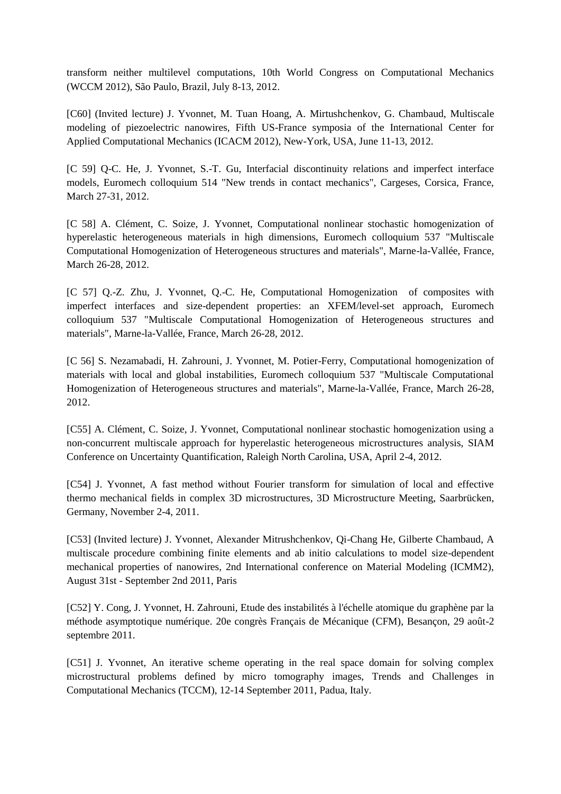transform neither multilevel computations, 10th World Congress on Computational Mechanics (WCCM 2012), São Paulo, Brazil, July 8-13, 2012.

[C60] (Invited lecture) J. Yvonnet, M. Tuan Hoang, A. Mirtushchenkov, G. Chambaud, Multiscale modeling of piezoelectric nanowires, Fifth US-France symposia of the International Center for Applied Computational Mechanics (ICACM 2012), New-York, USA, June 11-13, 2012.

[C 59] Q-C. He, J. Yvonnet, S.-T. Gu, Interfacial discontinuity relations and imperfect interface models, Euromech colloquium 514 "New trends in contact mechanics", Cargeses, Corsica, France, March 27-31, 2012.

[C 58] A. Clément, C. Soize, J. Yvonnet, Computational nonlinear stochastic homogenization of hyperelastic heterogeneous materials in high dimensions, Euromech colloquium 537 "Multiscale Computational Homogenization of Heterogeneous structures and materials", Marne-la-Vallée, France, March 26-28, 2012.

[C 57] Q.-Z. Zhu, J. Yvonnet, Q.-C. He, Computational Homogenization of composites with imperfect interfaces and size-dependent properties: an XFEM/level-set approach, Euromech colloquium 537 "Multiscale Computational Homogenization of Heterogeneous structures and materials", Marne-la-Vallée, France, March 26-28, 2012.

[C 56] S. Nezamabadi, H. Zahrouni, J. Yvonnet, M. Potier-Ferry, Computational homogenization of materials with local and global instabilities, Euromech colloquium 537 "Multiscale Computational Homogenization of Heterogeneous structures and materials", Marne-la-Vallée, France, March 26-28, 2012.

[C55] A. Clément, C. Soize, J. Yvonnet, Computational nonlinear stochastic homogenization using a non-concurrent multiscale approach for hyperelastic heterogeneous microstructures analysis, SIAM Conference on Uncertainty Quantification, Raleigh North Carolina, USA, April 2-4, 2012.

[C54] J. Yvonnet, A fast method without Fourier transform for simulation of local and effective thermo mechanical fields in complex 3D microstructures, 3D Microstructure Meeting, Saarbrücken, Germany, November 2-4, 2011.

[C53] (Invited lecture) J. Yvonnet, Alexander Mitrushchenkov, Qi-Chang He, Gilberte Chambaud, A multiscale procedure combining finite elements and ab initio calculations to model size-dependent mechanical properties of nanowires, 2nd International conference on Material Modeling (ICMM2), August 31st - September 2nd 2011, Paris

[C52] Y. Cong, J. Yvonnet, H. Zahrouni, Etude des instabilités à l'échelle atomique du graphène par la méthode asymptotique numérique. 20e congrès Français de Mécanique (CFM), Besançon, 29 août-2 septembre 2011.

[C51] J. Yvonnet, An iterative scheme operating in the real space domain for solving complex microstructural problems defined by micro tomography images, Trends and Challenges in Computational Mechanics (TCCM), 12-14 September 2011, Padua, Italy.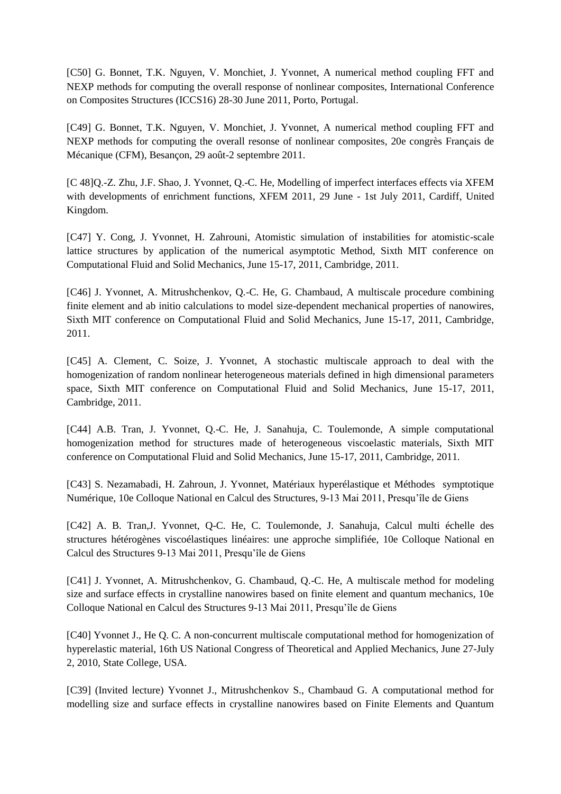[C50] G. Bonnet, T.K. Nguyen, V. Monchiet, J. Yvonnet, A numerical method coupling FFT and NEXP methods for computing the overall response of nonlinear composites, International Conference on Composites Structures (ICCS16) 28-30 June 2011, Porto, Portugal.

[C49] G. Bonnet, T.K. Nguyen, V. Monchiet, J. Yvonnet, A numerical method coupling FFT and NEXP methods for computing the overall resonse of nonlinear composites, 20e congrès Français de Mécanique (CFM), Besançon, 29 août-2 septembre 2011.

[C 48]Q.-Z. Zhu, J.F. Shao, J. Yvonnet, Q.-C. He, Modelling of imperfect interfaces effects via XFEM with developments of enrichment functions, XFEM 2011, 29 June - 1st July 2011, Cardiff, United Kingdom.

[C47] Y. Cong, J. Yvonnet, H. Zahrouni, Atomistic simulation of instabilities for atomistic-scale lattice structures by application of the numerical asymptotic Method, Sixth MIT conference on Computational Fluid and Solid Mechanics, June 15-17, 2011, Cambridge, 2011.

[C46] J. Yvonnet, A. Mitrushchenkov, Q.-C. He, G. Chambaud, A multiscale procedure combining finite element and ab initio calculations to model size-dependent mechanical properties of nanowires, Sixth MIT conference on Computational Fluid and Solid Mechanics, June 15-17, 2011, Cambridge, 2011.

[C45] A. Clement, C. Soize, J. Yvonnet, A stochastic multiscale approach to deal with the homogenization of random nonlinear heterogeneous materials defined in high dimensional parameters space, Sixth MIT conference on Computational Fluid and Solid Mechanics, June 15-17, 2011, Cambridge, 2011.

[C44] A.B. Tran, J. Yvonnet, Q.-C. He, J. Sanahuja, C. Toulemonde, A simple computational homogenization method for structures made of heterogeneous viscoelastic materials, Sixth MIT conference on Computational Fluid and Solid Mechanics, June 15-17, 2011, Cambridge, 2011.

[C43] S. Nezamabadi, H. Zahroun, J. Yvonnet, Matériaux hyperélastique et Méthodes symptotique Numérique, 10e Colloque National en Calcul des Structures, 9-13 Mai 2011, Presqu'île de Giens

[C42] A. B. Tran,J. Yvonnet, Q-C. He, C. Toulemonde, J. Sanahuja, Calcul multi échelle des structures hétérogènes viscoélastiques linéaires: une approche simplifiée, 10e Colloque National en Calcul des Structures 9-13 Mai 2011, Presqu'île de Giens

[C41] J. Yvonnet, A. Mitrushchenkov, G. Chambaud, Q.-C. He, A multiscale method for modeling size and surface effects in crystalline nanowires based on finite element and quantum mechanics, 10e Colloque National en Calcul des Structures 9-13 Mai 2011, Presqu'île de Giens

[C40] Yvonnet J., He Q. C. A non-concurrent multiscale computational method for homogenization of hyperelastic material, 16th US National Congress of Theoretical and Applied Mechanics, June 27-July 2, 2010, State College, USA.

[C39] (Invited lecture) Yvonnet J., Mitrushchenkov S., Chambaud G. A computational method for modelling size and surface effects in crystalline nanowires based on Finite Elements and Quantum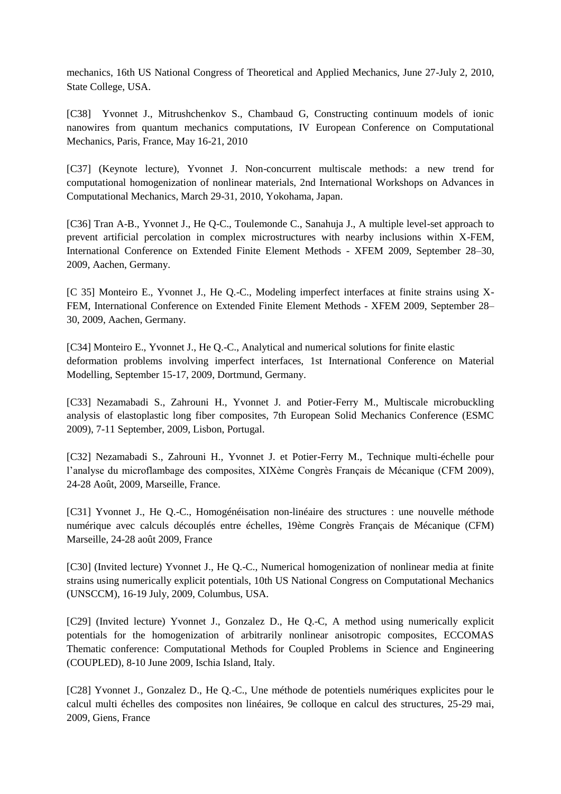mechanics, 16th US National Congress of Theoretical and Applied Mechanics, June 27-July 2, 2010, State College, USA.

[C38] Yvonnet J., Mitrushchenkov S., Chambaud G, Constructing continuum models of ionic nanowires from quantum mechanics computations, IV European Conference on Computational Mechanics, Paris, France, May 16-21, 2010

[C37] (Keynote lecture), Yvonnet J. Non-concurrent multiscale methods: a new trend for computational homogenization of nonlinear materials, 2nd International Workshops on Advances in Computational Mechanics, March 29-31, 2010, Yokohama, Japan.

[C36] Tran A-B., Yvonnet J., He Q-C., Toulemonde C., Sanahuja J., A multiple level-set approach to prevent artificial percolation in complex microstructures with nearby inclusions within X-FEM, International Conference on Extended Finite Element Methods - XFEM 2009, September 28–30, 2009, Aachen, Germany.

[C 35] Monteiro E., Yvonnet J., He Q.-C., Modeling imperfect interfaces at finite strains using X-FEM, International Conference on Extended Finite Element Methods - XFEM 2009, September 28– 30, 2009, Aachen, Germany.

[C34] Monteiro E., Yvonnet J., He Q.-C., Analytical and numerical solutions for finite elastic deformation problems involving imperfect interfaces, 1st International Conference on Material Modelling, September 15-17, 2009, Dortmund, Germany.

[C33] Nezamabadi S., Zahrouni H., Yvonnet J. and Potier-Ferry M., Multiscale microbuckling analysis of elastoplastic long fiber composites, 7th European Solid Mechanics Conference (ESMC 2009), 7-11 September, 2009, Lisbon, Portugal.

[C32] Nezamabadi S., Zahrouni H., Yvonnet J. et Potier-Ferry M., Technique multi-échelle pour l'analyse du microflambage des composites, XIXème Congrès Français de Mécanique (CFM 2009), 24-28 Août, 2009, Marseille, France.

[C31] Yvonnet J., He Q.-C., Homogénéisation non-linéaire des structures : une nouvelle méthode numérique avec calculs découplés entre échelles, 19ème Congrès Français de Mécanique (CFM) Marseille, 24-28 août 2009, France

[C30] (Invited lecture) Yvonnet J., He Q.-C., Numerical homogenization of nonlinear media at finite strains using numerically explicit potentials, 10th US National Congress on Computational Mechanics (UNSCCM), 16-19 July, 2009, Columbus, USA.

[C29] (Invited lecture) Yvonnet J., Gonzalez D., He Q.-C, A method using numerically explicit potentials for the homogenization of arbitrarily nonlinear anisotropic composites, ECCOMAS Thematic conference: Computational Methods for Coupled Problems in Science and Engineering (COUPLED), 8-10 June 2009, Ischia Island, Italy.

[C28] Yvonnet J., Gonzalez D., He Q.-C., Une méthode de potentiels numériques explicites pour le calcul multi échelles des composites non linéaires, 9e colloque en calcul des structures, 25-29 mai, 2009, Giens, France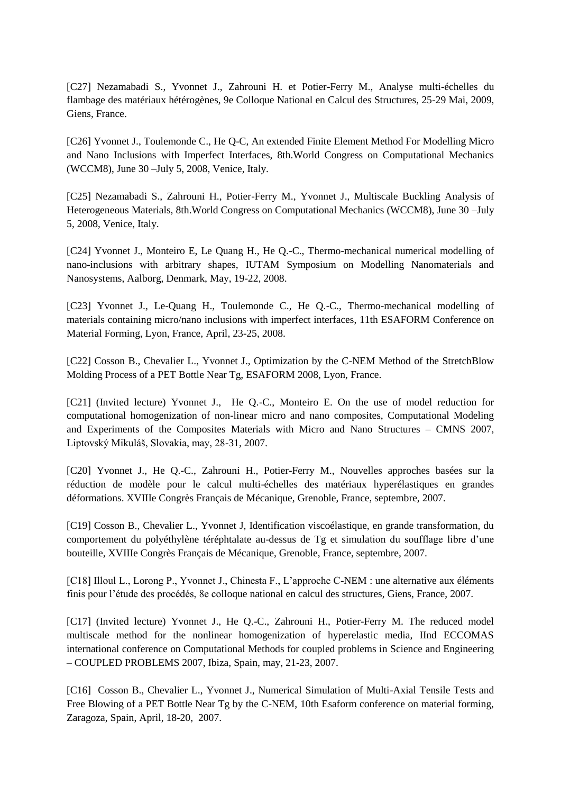[C27] Nezamabadi S., Yvonnet J., Zahrouni H. et Potier-Ferry M., Analyse multi-échelles du flambage des matériaux hétérogènes, 9e Colloque National en Calcul des Structures, 25-29 Mai, 2009, Giens, France.

[C26] Yvonnet J., Toulemonde C., He Q-C, An extended Finite Element Method For Modelling Micro and Nano Inclusions with Imperfect Interfaces, 8th.World Congress on Computational Mechanics (WCCM8), June 30 –July 5, 2008, Venice, Italy.

[C25] Nezamabadi S., Zahrouni H., Potier-Ferry M., Yvonnet J., Multiscale Buckling Analysis of Heterogeneous Materials, 8th.World Congress on Computational Mechanics (WCCM8), June 30 –July 5, 2008, Venice, Italy.

[C24] Yvonnet J., Monteiro E, Le Quang H., He Q.-C., Thermo-mechanical numerical modelling of nano-inclusions with arbitrary shapes, IUTAM Symposium on Modelling Nanomaterials and Nanosystems, Aalborg, Denmark, May, 19-22, 2008.

[C23] Yvonnet J., Le-Quang H., Toulemonde C., He Q.-C., Thermo-mechanical modelling of materials containing micro/nano inclusions with imperfect interfaces, 11th ESAFORM Conference on Material Forming, Lyon, France, April, 23-25, 2008.

[C22] Cosson B., Chevalier L., Yvonnet J., Optimization by the C-NEM Method of the StretchBlow Molding Process of a PET Bottle Near Tg, ESAFORM 2008, Lyon, France.

[C21] (Invited lecture) Yvonnet J., He Q.-C., Monteiro E. On the use of model reduction for computational homogenization of non-linear micro and nano composites, Computational Modeling and Experiments of the Composites Materials with Micro and Nano Structures – CMNS 2007, Liptovský Mikuláš, Slovakia, may, 28-31, 2007.

[C20] Yvonnet J., He Q.-C., Zahrouni H., Potier-Ferry M., Nouvelles approches basées sur la réduction de modèle pour le calcul multi-échelles des matériaux hyperélastiques en grandes déformations. XVIIIe Congrès Français de Mécanique, Grenoble, France, septembre, 2007.

[C19] Cosson B., Chevalier L., Yvonnet J, Identification viscoélastique, en grande transformation, du comportement du polyéthylène téréphtalate au-dessus de Tg et simulation du soufflage libre d'une bouteille, XVIIIe Congrès Français de Mécanique, Grenoble, France, septembre, 2007.

[C18] Illoul L., Lorong P., Yvonnet J., Chinesta F., L'approche C-NEM : une alternative aux éléments finis pour l'étude des procédés, 8e colloque national en calcul des structures, Giens, France, 2007.

[C17] (Invited lecture) Yvonnet J., He Q.-C., Zahrouni H., Potier-Ferry M. The reduced model multiscale method for the nonlinear homogenization of hyperelastic media, IInd ECCOMAS international conference on Computational Methods for coupled problems in Science and Engineering – COUPLED PROBLEMS 2007, Ibiza, Spain, may, 21-23, 2007.

[C16] Cosson B., Chevalier L., Yvonnet J., Numerical Simulation of Multi-Axial Tensile Tests and Free Blowing of a PET Bottle Near Tg by the C-NEM, 10th Esaform conference on material forming, Zaragoza, Spain, April, 18-20, 2007.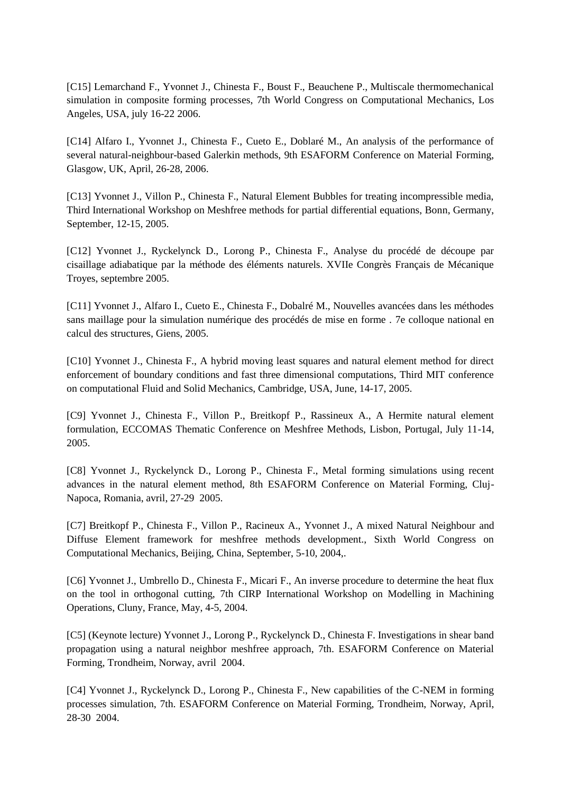[C15] Lemarchand F., Yvonnet J., Chinesta F., Boust F., Beauchene P., Multiscale thermomechanical simulation in composite forming processes, 7th World Congress on Computational Mechanics, Los Angeles, USA, july 16-22 2006.

[C14] Alfaro I., Yvonnet J., Chinesta F., Cueto E., Doblaré M., An analysis of the performance of several natural-neighbour-based Galerkin methods, 9th ESAFORM Conference on Material Forming, Glasgow, UK, April, 26-28, 2006.

[C13] Yvonnet J., Villon P., Chinesta F., Natural Element Bubbles for treating incompressible media, Third International Workshop on Meshfree methods for partial differential equations, Bonn, Germany, September, 12-15, 2005.

[C12] Yvonnet J., Ryckelynck D., Lorong P., Chinesta F., Analyse du procédé de découpe par cisaillage adiabatique par la méthode des éléments naturels. XVIIe Congrès Français de Mécanique Troyes, septembre 2005.

[C11] Yvonnet J., Alfaro I., Cueto E., Chinesta F., Dobalré M., Nouvelles avancées dans les méthodes sans maillage pour la simulation numérique des procédés de mise en forme . 7e colloque national en calcul des structures, Giens, 2005.

[C10] Yvonnet J., Chinesta F., A hybrid moving least squares and natural element method for direct enforcement of boundary conditions and fast three dimensional computations, Third MIT conference on computational Fluid and Solid Mechanics, Cambridge, USA, June, 14-17, 2005.

[C9] Yvonnet J., Chinesta F., Villon P., Breitkopf P., Rassineux A., A Hermite natural element formulation, ECCOMAS Thematic Conference on Meshfree Methods, Lisbon, Portugal, July 11-14, 2005.

[C8] Yvonnet J., Ryckelynck D., Lorong P., Chinesta F., Metal forming simulations using recent advances in the natural element method, 8th ESAFORM Conference on Material Forming, Cluj-Napoca, Romania, avril, 27-29 2005.

[C7] Breitkopf P., Chinesta F., Villon P., Racineux A., Yvonnet J., A mixed Natural Neighbour and Diffuse Element framework for meshfree methods development., Sixth World Congress on Computational Mechanics, Beijing, China, September, 5-10, 2004,.

[C6] Yvonnet J., Umbrello D., Chinesta F., Micari F., An inverse procedure to determine the heat flux on the tool in orthogonal cutting, 7th CIRP International Workshop on Modelling in Machining Operations, Cluny, France, May, 4-5, 2004.

[C5] (Keynote lecture) Yvonnet J., Lorong P., Ryckelynck D., Chinesta F. Investigations in shear band propagation using a natural neighbor meshfree approach, 7th. ESAFORM Conference on Material Forming, Trondheim, Norway, avril 2004.

[C4] Yvonnet J., Ryckelynck D., Lorong P., Chinesta F., New capabilities of the C-NEM in forming processes simulation, 7th. ESAFORM Conference on Material Forming, Trondheim, Norway, April, 28-30 2004.